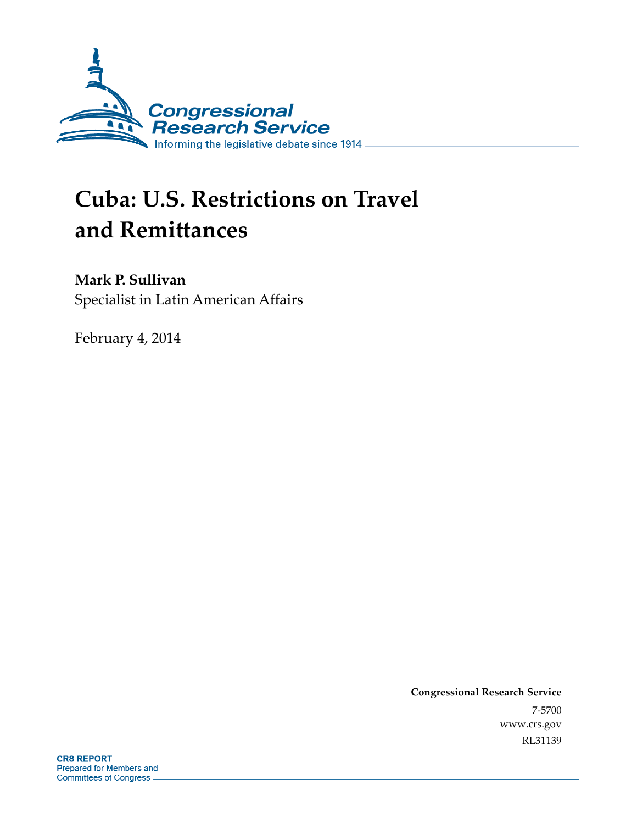

# **Cuba: U.S. Restrictions on Travel and Remittances**

# **Mark P. Sullivan**

Specialist in Latin American Affairs

February 4, 2014

**Congressional Research Service**  7-5700 www.crs.gov RL31139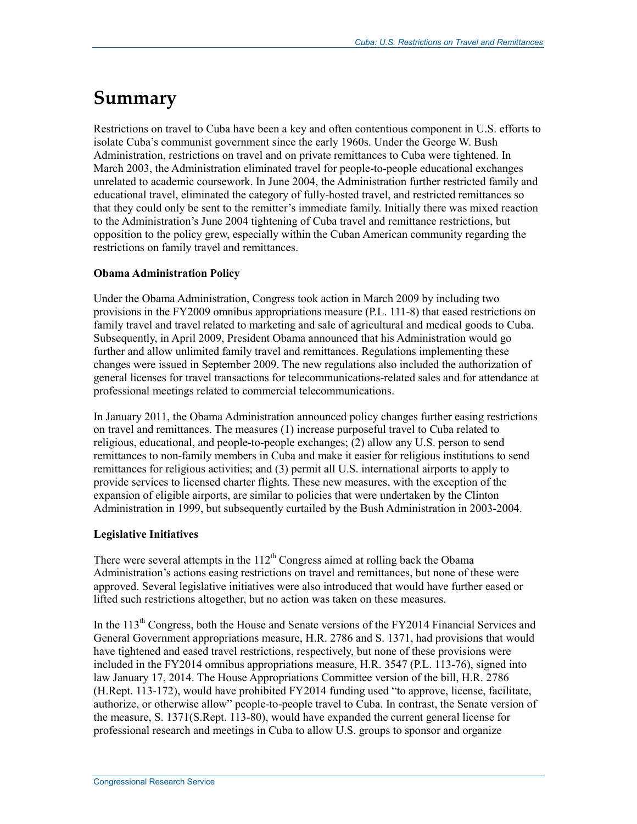# **Summary**

Restrictions on travel to Cuba have been a key and often contentious component in U.S. efforts to isolate Cuba's communist government since the early 1960s. Under the George W. Bush Administration, restrictions on travel and on private remittances to Cuba were tightened. In March 2003, the Administration eliminated travel for people-to-people educational exchanges unrelated to academic coursework. In June 2004, the Administration further restricted family and educational travel, eliminated the category of fully-hosted travel, and restricted remittances so that they could only be sent to the remitter's immediate family. Initially there was mixed reaction to the Administration's June 2004 tightening of Cuba travel and remittance restrictions, but opposition to the policy grew, especially within the Cuban American community regarding the restrictions on family travel and remittances.

### **Obama Administration Policy**

Under the Obama Administration, Congress took action in March 2009 by including two provisions in the FY2009 omnibus appropriations measure (P.L. 111-8) that eased restrictions on family travel and travel related to marketing and sale of agricultural and medical goods to Cuba. Subsequently, in April 2009, President Obama announced that his Administration would go further and allow unlimited family travel and remittances. Regulations implementing these changes were issued in September 2009. The new regulations also included the authorization of general licenses for travel transactions for telecommunications-related sales and for attendance at professional meetings related to commercial telecommunications.

In January 2011, the Obama Administration announced policy changes further easing restrictions on travel and remittances. The measures (1) increase purposeful travel to Cuba related to religious, educational, and people-to-people exchanges; (2) allow any U.S. person to send remittances to non-family members in Cuba and make it easier for religious institutions to send remittances for religious activities; and (3) permit all U.S. international airports to apply to provide services to licensed charter flights. These new measures, with the exception of the expansion of eligible airports, are similar to policies that were undertaken by the Clinton Administration in 1999, but subsequently curtailed by the Bush Administration in 2003-2004.

#### **Legislative Initiatives**

There were several attempts in the  $112<sup>th</sup>$  Congress aimed at rolling back the Obama Administration's actions easing restrictions on travel and remittances, but none of these were approved. Several legislative initiatives were also introduced that would have further eased or lifted such restrictions altogether, but no action was taken on these measures.

In the 113<sup>th</sup> Congress, both the House and Senate versions of the FY2014 Financial Services and General Government appropriations measure, H.R. 2786 and S. 1371, had provisions that would have tightened and eased travel restrictions, respectively, but none of these provisions were included in the FY2014 omnibus appropriations measure, H.R. 3547 (P.L. 113-76), signed into law January 17, 2014. The House Appropriations Committee version of the bill, H.R. 2786 (H.Rept. 113-172), would have prohibited FY2014 funding used "to approve, license, facilitate, authorize, or otherwise allow" people-to-people travel to Cuba. In contrast, the Senate version of the measure, S. 1371(S.Rept. 113-80), would have expanded the current general license for professional research and meetings in Cuba to allow U.S. groups to sponsor and organize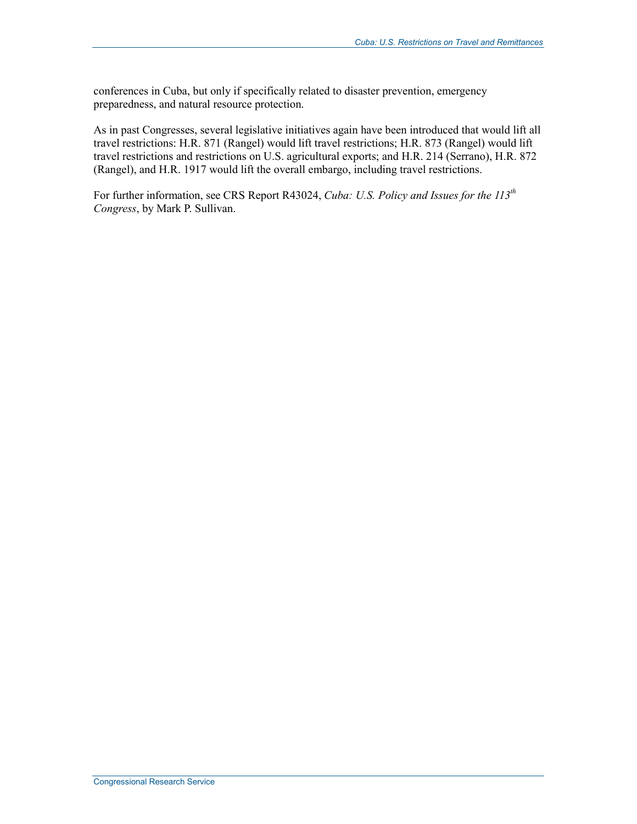conferences in Cuba, but only if specifically related to disaster prevention, emergency preparedness, and natural resource protection.

As in past Congresses, several legislative initiatives again have been introduced that would lift all travel restrictions: H.R. 871 (Rangel) would lift travel restrictions; H.R. 873 (Rangel) would lift travel restrictions and restrictions on U.S. agricultural exports; and H.R. 214 (Serrano), H.R. 872 (Rangel), and H.R. 1917 would lift the overall embargo, including travel restrictions.

For further information, see CRS Report R43024, *Cuba: U.S. Policy and Issues for the 113<sup>th</sup> Congress*, by Mark P. Sullivan.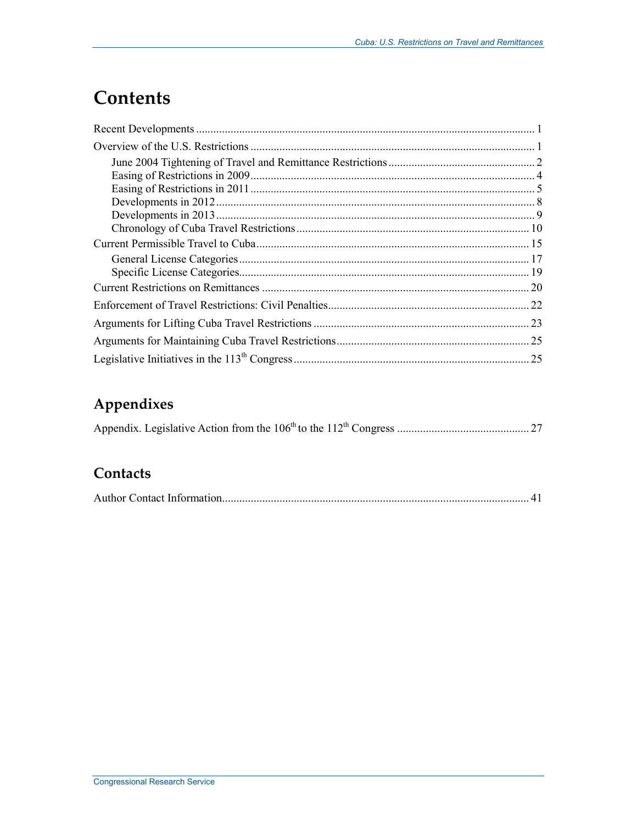# **Contents**

# **Appendixes**

|--|--|

# **Contacts**

|--|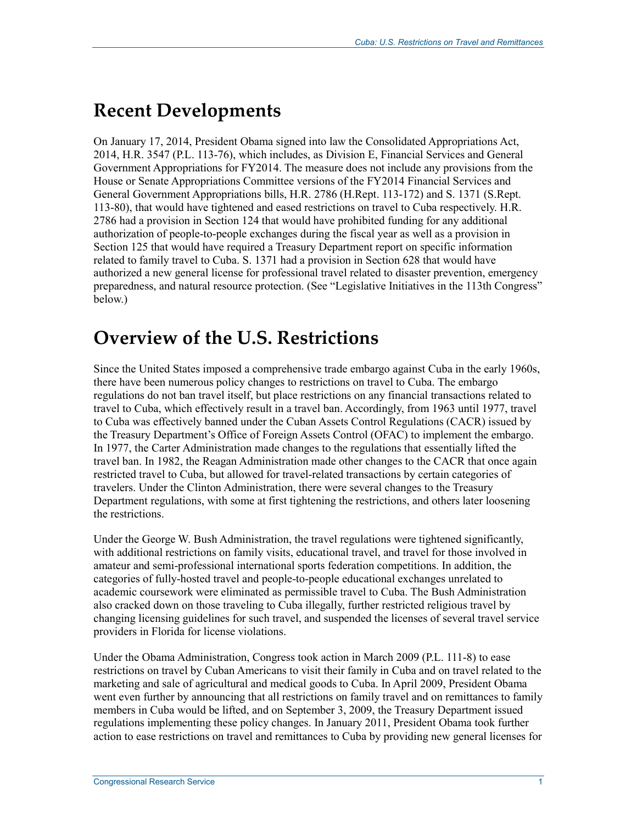# **Recent Developments**

On January 17, 2014, President Obama signed into law the Consolidated Appropriations Act, 2014, H.R. 3547 (P.L. 113-76), which includes, as Division E, Financial Services and General Government Appropriations for FY2014. The measure does not include any provisions from the House or Senate Appropriations Committee versions of the FY2014 Financial Services and General Government Appropriations bills, H.R. 2786 (H.Rept. 113-172) and S. 1371 (S.Rept. 113-80), that would have tightened and eased restrictions on travel to Cuba respectively. H.R. 2786 had a provision in Section 124 that would have prohibited funding for any additional authorization of people-to-people exchanges during the fiscal year as well as a provision in Section 125 that would have required a Treasury Department report on specific information related to family travel to Cuba. S. 1371 had a provision in Section 628 that would have authorized a new general license for professional travel related to disaster prevention, emergency preparedness, and natural resource protection. (See "Legislative Initiatives in the 113th Congress" below.)

# **Overview of the U.S. Restrictions**

Since the United States imposed a comprehensive trade embargo against Cuba in the early 1960s, there have been numerous policy changes to restrictions on travel to Cuba. The embargo regulations do not ban travel itself, but place restrictions on any financial transactions related to travel to Cuba, which effectively result in a travel ban. Accordingly, from 1963 until 1977, travel to Cuba was effectively banned under the Cuban Assets Control Regulations (CACR) issued by the Treasury Department's Office of Foreign Assets Control (OFAC) to implement the embargo. In 1977, the Carter Administration made changes to the regulations that essentially lifted the travel ban. In 1982, the Reagan Administration made other changes to the CACR that once again restricted travel to Cuba, but allowed for travel-related transactions by certain categories of travelers. Under the Clinton Administration, there were several changes to the Treasury Department regulations, with some at first tightening the restrictions, and others later loosening the restrictions.

Under the George W. Bush Administration, the travel regulations were tightened significantly, with additional restrictions on family visits, educational travel, and travel for those involved in amateur and semi-professional international sports federation competitions. In addition, the categories of fully-hosted travel and people-to-people educational exchanges unrelated to academic coursework were eliminated as permissible travel to Cuba. The Bush Administration also cracked down on those traveling to Cuba illegally, further restricted religious travel by changing licensing guidelines for such travel, and suspended the licenses of several travel service providers in Florida for license violations.

Under the Obama Administration, Congress took action in March 2009 (P.L. 111-8) to ease restrictions on travel by Cuban Americans to visit their family in Cuba and on travel related to the marketing and sale of agricultural and medical goods to Cuba. In April 2009, President Obama went even further by announcing that all restrictions on family travel and on remittances to family members in Cuba would be lifted, and on September 3, 2009, the Treasury Department issued regulations implementing these policy changes. In January 2011, President Obama took further action to ease restrictions on travel and remittances to Cuba by providing new general licenses for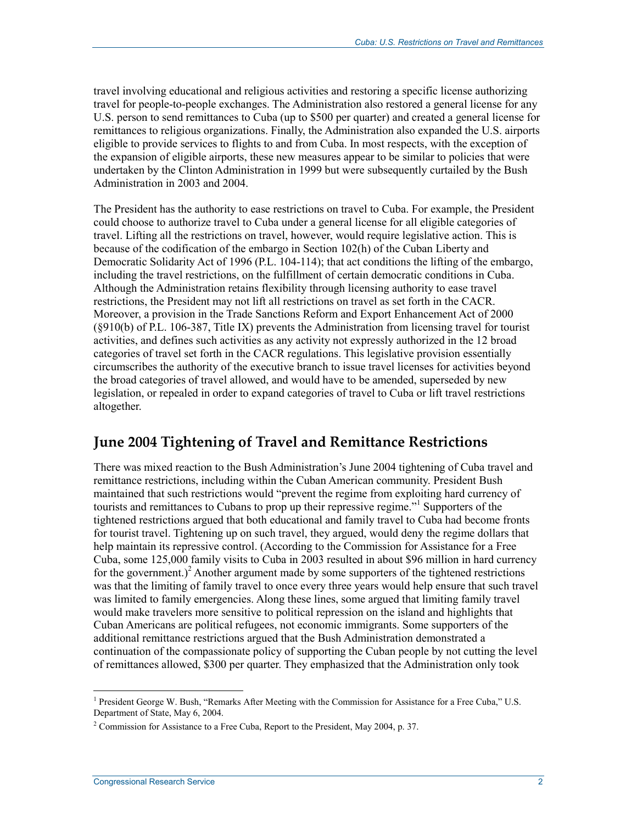travel involving educational and religious activities and restoring a specific license authorizing travel for people-to-people exchanges. The Administration also restored a general license for any U.S. person to send remittances to Cuba (up to \$500 per quarter) and created a general license for remittances to religious organizations. Finally, the Administration also expanded the U.S. airports eligible to provide services to flights to and from Cuba. In most respects, with the exception of the expansion of eligible airports, these new measures appear to be similar to policies that were undertaken by the Clinton Administration in 1999 but were subsequently curtailed by the Bush Administration in 2003 and 2004.

The President has the authority to ease restrictions on travel to Cuba. For example, the President could choose to authorize travel to Cuba under a general license for all eligible categories of travel. Lifting all the restrictions on travel, however, would require legislative action. This is because of the codification of the embargo in Section 102(h) of the Cuban Liberty and Democratic Solidarity Act of 1996 (P.L. 104-114); that act conditions the lifting of the embargo, including the travel restrictions, on the fulfillment of certain democratic conditions in Cuba. Although the Administration retains flexibility through licensing authority to ease travel restrictions, the President may not lift all restrictions on travel as set forth in the CACR. Moreover, a provision in the Trade Sanctions Reform and Export Enhancement Act of 2000 (§910(b) of P.L. 106-387, Title IX) prevents the Administration from licensing travel for tourist activities, and defines such activities as any activity not expressly authorized in the 12 broad categories of travel set forth in the CACR regulations. This legislative provision essentially circumscribes the authority of the executive branch to issue travel licenses for activities beyond the broad categories of travel allowed, and would have to be amended, superseded by new legislation, or repealed in order to expand categories of travel to Cuba or lift travel restrictions altogether.

# **June 2004 Tightening of Travel and Remittance Restrictions**

There was mixed reaction to the Bush Administration's June 2004 tightening of Cuba travel and remittance restrictions, including within the Cuban American community. President Bush maintained that such restrictions would "prevent the regime from exploiting hard currency of tourists and remittances to Cubans to prop up their repressive regime."<sup>1</sup> Supporters of the tightened restrictions argued that both educational and family travel to Cuba had become fronts for tourist travel. Tightening up on such travel, they argued, would deny the regime dollars that help maintain its repressive control. (According to the Commission for Assistance for a Free Cuba, some 125,000 family visits to Cuba in 2003 resulted in about \$96 million in hard currency for the government.)<sup>2</sup> Another argument made by some supporters of the tightened restrictions was that the limiting of family travel to once every three years would help ensure that such travel was limited to family emergencies. Along these lines, some argued that limiting family travel would make travelers more sensitive to political repression on the island and highlights that Cuban Americans are political refugees, not economic immigrants. Some supporters of the additional remittance restrictions argued that the Bush Administration demonstrated a continuation of the compassionate policy of supporting the Cuban people by not cutting the level of remittances allowed, \$300 per quarter. They emphasized that the Administration only took

<sup>&</sup>lt;sup>1</sup> President George W. Bush, "Remarks After Meeting with the Commission for Assistance for a Free Cuba," U.S. Department of State, May 6, 2004.

<sup>&</sup>lt;sup>2</sup> Commission for Assistance to a Free Cuba, Report to the President, May 2004, p. 37.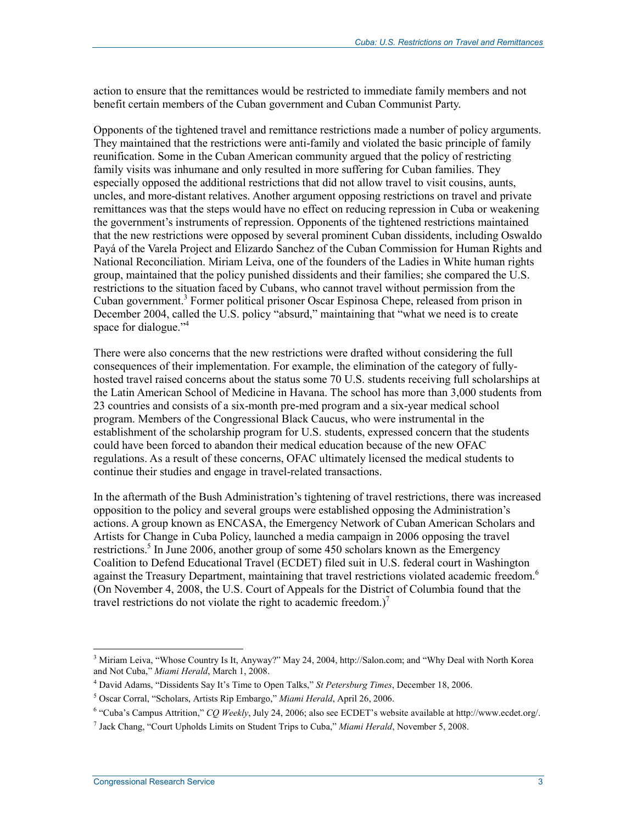action to ensure that the remittances would be restricted to immediate family members and not benefit certain members of the Cuban government and Cuban Communist Party.

Opponents of the tightened travel and remittance restrictions made a number of policy arguments. They maintained that the restrictions were anti-family and violated the basic principle of family reunification. Some in the Cuban American community argued that the policy of restricting family visits was inhumane and only resulted in more suffering for Cuban families. They especially opposed the additional restrictions that did not allow travel to visit cousins, aunts, uncles, and more-distant relatives. Another argument opposing restrictions on travel and private remittances was that the steps would have no effect on reducing repression in Cuba or weakening the government's instruments of repression. Opponents of the tightened restrictions maintained that the new restrictions were opposed by several prominent Cuban dissidents, including Oswaldo Payá of the Varela Project and Elizardo Sanchez of the Cuban Commission for Human Rights and National Reconciliation. Miriam Leiva, one of the founders of the Ladies in White human rights group, maintained that the policy punished dissidents and their families; she compared the U.S. restrictions to the situation faced by Cubans, who cannot travel without permission from the Cuban government.<sup>3</sup> Former political prisoner Oscar Espinosa Chepe, released from prison in December 2004, called the U.S. policy "absurd," maintaining that "what we need is to create space for dialogue."<sup>4</sup>

There were also concerns that the new restrictions were drafted without considering the full consequences of their implementation. For example, the elimination of the category of fullyhosted travel raised concerns about the status some 70 U.S. students receiving full scholarships at the Latin American School of Medicine in Havana. The school has more than 3,000 students from 23 countries and consists of a six-month pre-med program and a six-year medical school program. Members of the Congressional Black Caucus, who were instrumental in the establishment of the scholarship program for U.S. students, expressed concern that the students could have been forced to abandon their medical education because of the new OFAC regulations. As a result of these concerns, OFAC ultimately licensed the medical students to continue their studies and engage in travel-related transactions.

In the aftermath of the Bush Administration's tightening of travel restrictions, there was increased opposition to the policy and several groups were established opposing the Administration's actions. A group known as ENCASA, the Emergency Network of Cuban American Scholars and Artists for Change in Cuba Policy, launched a media campaign in 2006 opposing the travel restrictions.<sup>5</sup> In June 2006, another group of some 450 scholars known as the Emergency Coalition to Defend Educational Travel (ECDET) filed suit in U.S. federal court in Washington against the Treasury Department, maintaining that travel restrictions violated academic freedom.<sup>6</sup> (On November 4, 2008, the U.S. Court of Appeals for the District of Columbia found that the travel restrictions do not violate the right to academic freedom.)<sup>7</sup>

<sup>&</sup>lt;sup>3</sup> Miriam Leiva, "Whose Country Is It, Anyway?" May 24, 2004, http://Salon.com; and "Why Deal with North Korea and Not Cuba," *Miami Herald*, March 1, 2008.

<sup>4</sup> David Adams, "Dissidents Say It's Time to Open Talks," *St Petersburg Times*, December 18, 2006.

<sup>5</sup> Oscar Corral, "Scholars, Artists Rip Embargo," *Miami Herald*, April 26, 2006.

<sup>&</sup>lt;sup>6</sup> "Cuba's Campus Attrition," *CQ Weekly*, July 24, 2006; also see ECDET's website available at http://www.ecdet.org/.

<sup>7</sup> Jack Chang, "Court Upholds Limits on Student Trips to Cuba," *Miami Herald*, November 5, 2008.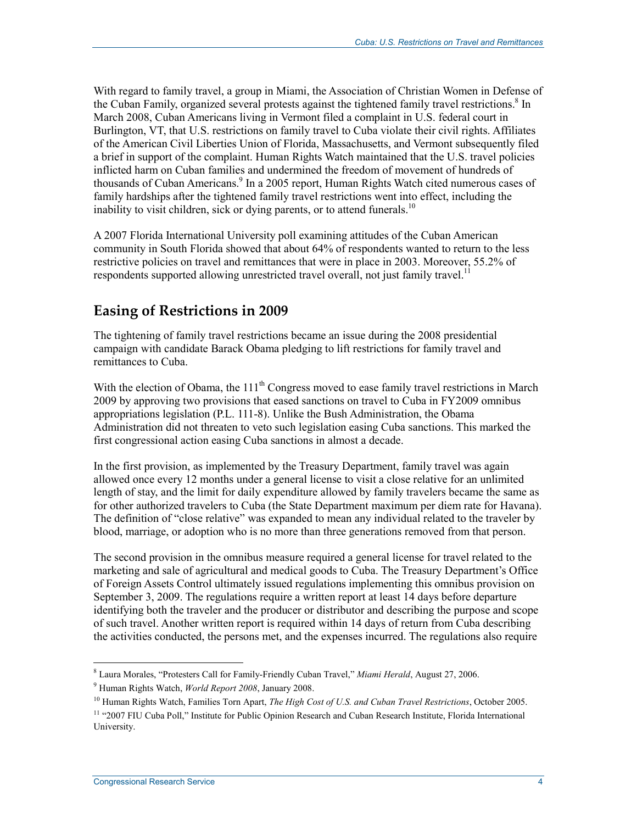With regard to family travel, a group in Miami, the Association of Christian Women in Defense of the Cuban Family, organized several protests against the tightened family travel restrictions.<sup>8</sup> In March 2008, Cuban Americans living in Vermont filed a complaint in U.S. federal court in Burlington, VT, that U.S. restrictions on family travel to Cuba violate their civil rights. Affiliates of the American Civil Liberties Union of Florida, Massachusetts, and Vermont subsequently filed a brief in support of the complaint. Human Rights Watch maintained that the U.S. travel policies inflicted harm on Cuban families and undermined the freedom of movement of hundreds of thousands of Cuban Americans.<sup>9</sup> In a 2005 report, Human Rights Watch cited numerous cases of family hardships after the tightened family travel restrictions went into effect, including the inability to visit children, sick or dying parents, or to attend funerals.<sup>10</sup>

A 2007 Florida International University poll examining attitudes of the Cuban American community in South Florida showed that about 64% of respondents wanted to return to the less restrictive policies on travel and remittances that were in place in 2003. Moreover, 55.2% of respondents supported allowing unrestricted travel overall, not just family travel.<sup>11</sup>

# **Easing of Restrictions in 2009**

The tightening of family travel restrictions became an issue during the 2008 presidential campaign with candidate Barack Obama pledging to lift restrictions for family travel and remittances to Cuba.

With the election of Obama, the  $111<sup>th</sup>$  Congress moved to ease family travel restrictions in March 2009 by approving two provisions that eased sanctions on travel to Cuba in FY2009 omnibus appropriations legislation (P.L. 111-8). Unlike the Bush Administration, the Obama Administration did not threaten to veto such legislation easing Cuba sanctions. This marked the first congressional action easing Cuba sanctions in almost a decade.

In the first provision, as implemented by the Treasury Department, family travel was again allowed once every 12 months under a general license to visit a close relative for an unlimited length of stay, and the limit for daily expenditure allowed by family travelers became the same as for other authorized travelers to Cuba (the State Department maximum per diem rate for Havana). The definition of "close relative" was expanded to mean any individual related to the traveler by blood, marriage, or adoption who is no more than three generations removed from that person.

The second provision in the omnibus measure required a general license for travel related to the marketing and sale of agricultural and medical goods to Cuba. The Treasury Department's Office of Foreign Assets Control ultimately issued regulations implementing this omnibus provision on September 3, 2009. The regulations require a written report at least 14 days before departure identifying both the traveler and the producer or distributor and describing the purpose and scope of such travel. Another written report is required within 14 days of return from Cuba describing the activities conducted, the persons met, and the expenses incurred. The regulations also require

 8 Laura Morales, "Protesters Call for Family-Friendly Cuban Travel," *Miami Herald*, August 27, 2006.

<sup>9</sup> Human Rights Watch, *World Report 2008*, January 2008.

<sup>10</sup> Human Rights Watch, Families Torn Apart, *The High Cost of U.S. and Cuban Travel Restrictions*, October 2005.

<sup>&</sup>lt;sup>11</sup> "2007 FIU Cuba Poll," Institute for Public Opinion Research and Cuban Research Institute, Florida International University.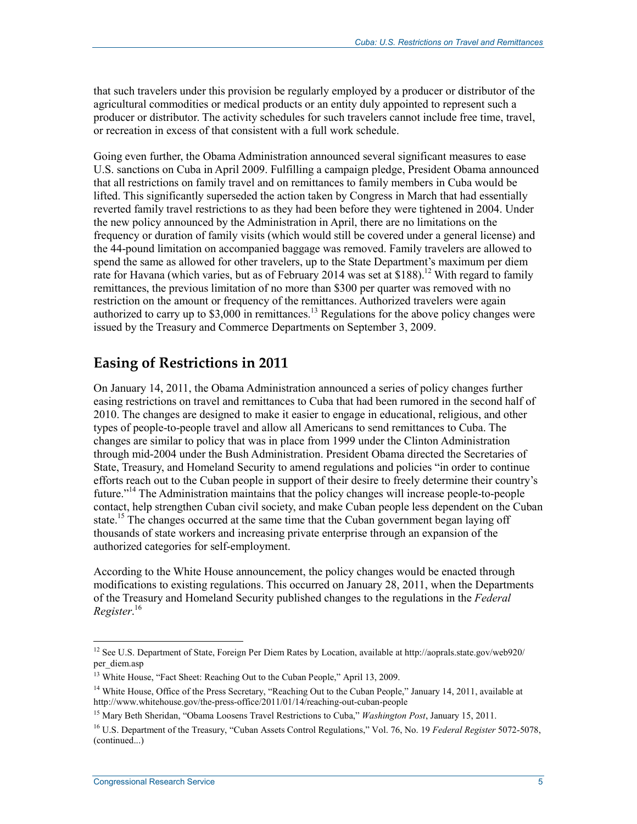that such travelers under this provision be regularly employed by a producer or distributor of the agricultural commodities or medical products or an entity duly appointed to represent such a producer or distributor. The activity schedules for such travelers cannot include free time, travel, or recreation in excess of that consistent with a full work schedule.

Going even further, the Obama Administration announced several significant measures to ease U.S. sanctions on Cuba in April 2009. Fulfilling a campaign pledge, President Obama announced that all restrictions on family travel and on remittances to family members in Cuba would be lifted. This significantly superseded the action taken by Congress in March that had essentially reverted family travel restrictions to as they had been before they were tightened in 2004. Under the new policy announced by the Administration in April, there are no limitations on the frequency or duration of family visits (which would still be covered under a general license) and the 44-pound limitation on accompanied baggage was removed. Family travelers are allowed to spend the same as allowed for other travelers, up to the State Department's maximum per diem rate for Havana (which varies, but as of February 2014 was set at \$188).<sup>12</sup> With regard to family remittances, the previous limitation of no more than \$300 per quarter was removed with no restriction on the amount or frequency of the remittances. Authorized travelers were again authorized to carry up to  $$3,000$  in remittances.<sup>13</sup> Regulations for the above policy changes were issued by the Treasury and Commerce Departments on September 3, 2009.

## **Easing of Restrictions in 2011**

On January 14, 2011, the Obama Administration announced a series of policy changes further easing restrictions on travel and remittances to Cuba that had been rumored in the second half of 2010. The changes are designed to make it easier to engage in educational, religious, and other types of people-to-people travel and allow all Americans to send remittances to Cuba. The changes are similar to policy that was in place from 1999 under the Clinton Administration through mid-2004 under the Bush Administration. President Obama directed the Secretaries of State, Treasury, and Homeland Security to amend regulations and policies "in order to continue efforts reach out to the Cuban people in support of their desire to freely determine their country's future."<sup>14</sup> The Administration maintains that the policy changes will increase people-to-people contact, help strengthen Cuban civil society, and make Cuban people less dependent on the Cuban state.<sup>15</sup> The changes occurred at the same time that the Cuban government began laying off thousands of state workers and increasing private enterprise through an expansion of the authorized categories for self-employment.

According to the White House announcement, the policy changes would be enacted through modifications to existing regulations. This occurred on January 28, 2011, when the Departments of the Treasury and Homeland Security published changes to the regulations in the *Federal Register*. 16

<sup>1</sup> <sup>12</sup> See U.S. Department of State, Foreign Per Diem Rates by Location, available at http://aoprals.state.gov/web920/ per\_diem.asp

<sup>&</sup>lt;sup>13</sup> White House, "Fact Sheet: Reaching Out to the Cuban People," April 13, 2009.

<sup>&</sup>lt;sup>14</sup> White House, Office of the Press Secretary, "Reaching Out to the Cuban People," January 14, 2011, available at http://www.whitehouse.gov/the-press-office/2011/01/14/reaching-out-cuban-people

<sup>15</sup> Mary Beth Sheridan, "Obama Loosens Travel Restrictions to Cuba," *Washington Post*, January 15, 2011.

<sup>16</sup> U.S. Department of the Treasury, "Cuban Assets Control Regulations," Vol. 76, No. 19 *Federal Register* 5072-5078, (continued...)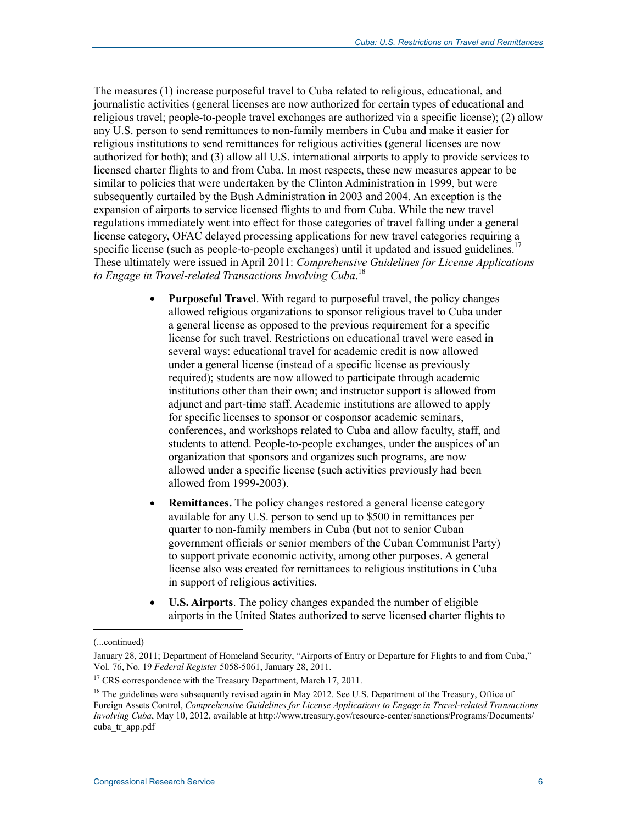The measures (1) increase purposeful travel to Cuba related to religious, educational, and journalistic activities (general licenses are now authorized for certain types of educational and religious travel; people-to-people travel exchanges are authorized via a specific license); (2) allow any U.S. person to send remittances to non-family members in Cuba and make it easier for religious institutions to send remittances for religious activities (general licenses are now authorized for both); and (3) allow all U.S. international airports to apply to provide services to licensed charter flights to and from Cuba. In most respects, these new measures appear to be similar to policies that were undertaken by the Clinton Administration in 1999, but were subsequently curtailed by the Bush Administration in 2003 and 2004. An exception is the expansion of airports to service licensed flights to and from Cuba. While the new travel regulations immediately went into effect for those categories of travel falling under a general license category, OFAC delayed processing applications for new travel categories requiring a specific license (such as people-to-people exchanges) until it updated and issued guidelines.<sup>17</sup> These ultimately were issued in April 2011: *Comprehensive Guidelines for License Applications to Engage in Travel-related Transactions Involving Cuba*. 18

- **Purposeful Travel**. With regard to purposeful travel, the policy changes allowed religious organizations to sponsor religious travel to Cuba under a general license as opposed to the previous requirement for a specific license for such travel. Restrictions on educational travel were eased in several ways: educational travel for academic credit is now allowed under a general license (instead of a specific license as previously required); students are now allowed to participate through academic institutions other than their own; and instructor support is allowed from adjunct and part-time staff. Academic institutions are allowed to apply for specific licenses to sponsor or cosponsor academic seminars, conferences, and workshops related to Cuba and allow faculty, staff, and students to attend. People-to-people exchanges, under the auspices of an organization that sponsors and organizes such programs, are now allowed under a specific license (such activities previously had been allowed from 1999-2003).
- **Remittances.** The policy changes restored a general license category available for any U.S. person to send up to \$500 in remittances per quarter to non-family members in Cuba (but not to senior Cuban government officials or senior members of the Cuban Communist Party) to support private economic activity, among other purposes. A general license also was created for remittances to religious institutions in Cuba in support of religious activities.
- **U.S. Airports**. The policy changes expanded the number of eligible airports in the United States authorized to serve licensed charter flights to

<sup>(...</sup>continued)

January 28, 2011; Department of Homeland Security, "Airports of Entry or Departure for Flights to and from Cuba," Vol. 76, No. 19 *Federal Register* 5058-5061, January 28, 2011.

<sup>&</sup>lt;sup>17</sup> CRS correspondence with the Treasury Department, March 17, 2011.

<sup>&</sup>lt;sup>18</sup> The guidelines were subsequently revised again in May 2012. See U.S. Department of the Treasury, Office of Foreign Assets Control, *Comprehensive Guidelines for License Applications to Engage in Travel-related Transactions Involving Cuba*, May 10, 2012, available at http://www.treasury.gov/resource-center/sanctions/Programs/Documents/ cuba\_tr\_app.pdf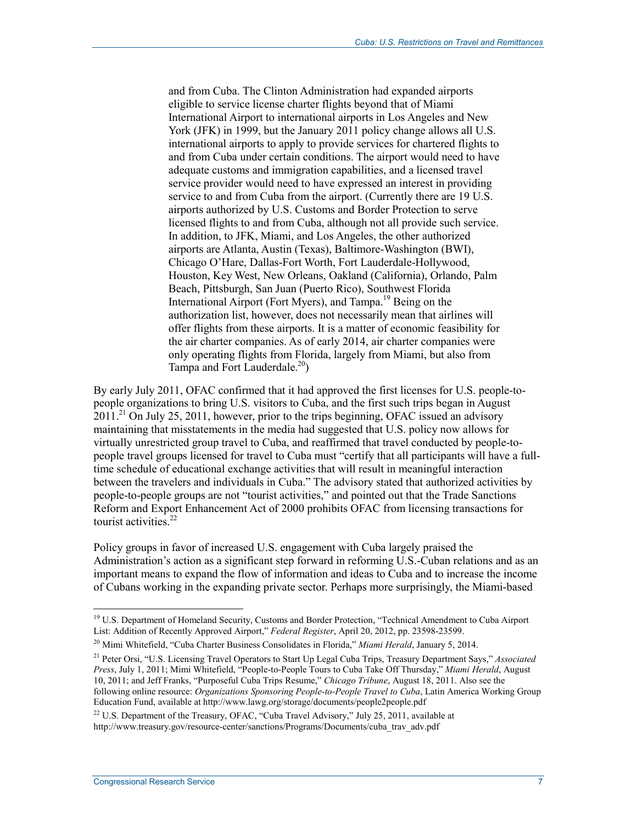and from Cuba. The Clinton Administration had expanded airports eligible to service license charter flights beyond that of Miami International Airport to international airports in Los Angeles and New York (JFK) in 1999, but the January 2011 policy change allows all U.S. international airports to apply to provide services for chartered flights to and from Cuba under certain conditions. The airport would need to have adequate customs and immigration capabilities, and a licensed travel service provider would need to have expressed an interest in providing service to and from Cuba from the airport. (Currently there are 19 U.S. airports authorized by U.S. Customs and Border Protection to serve licensed flights to and from Cuba, although not all provide such service. In addition, to JFK, Miami, and Los Angeles, the other authorized airports are Atlanta, Austin (Texas), Baltimore-Washington (BWI), Chicago O'Hare, Dallas-Fort Worth, Fort Lauderdale-Hollywood, Houston, Key West, New Orleans, Oakland (California), Orlando, Palm Beach, Pittsburgh, San Juan (Puerto Rico), Southwest Florida International Airport (Fort Myers), and Tampa.<sup>19</sup> Being on the authorization list, however, does not necessarily mean that airlines will offer flights from these airports. It is a matter of economic feasibility for the air charter companies. As of early 2014, air charter companies were only operating flights from Florida, largely from Miami, but also from Tampa and Fort Lauderdale.<sup>20</sup>)

By early July 2011, OFAC confirmed that it had approved the first licenses for U.S. people-topeople organizations to bring U.S. visitors to Cuba, and the first such trips began in August  $2011<sup>21</sup>$  On July 25, 2011, however, prior to the trips beginning, OFAC issued an advisory maintaining that misstatements in the media had suggested that U.S. policy now allows for virtually unrestricted group travel to Cuba, and reaffirmed that travel conducted by people-topeople travel groups licensed for travel to Cuba must "certify that all participants will have a fulltime schedule of educational exchange activities that will result in meaningful interaction between the travelers and individuals in Cuba." The advisory stated that authorized activities by people-to-people groups are not "tourist activities," and pointed out that the Trade Sanctions Reform and Export Enhancement Act of 2000 prohibits OFAC from licensing transactions for tourist activities. $22$ 

Policy groups in favor of increased U.S. engagement with Cuba largely praised the Administration's action as a significant step forward in reforming U.S.-Cuban relations and as an important means to expand the flow of information and ideas to Cuba and to increase the income of Cubans working in the expanding private sector. Perhaps more surprisingly, the Miami-based

<sup>&</sup>lt;sup>19</sup> U.S. Department of Homeland Security, Customs and Border Protection, "Technical Amendment to Cuba Airport List: Addition of Recently Approved Airport," *Federal Register*, April 20, 2012, pp. 23598-23599.

<sup>20</sup> Mimi Whitefield, "Cuba Charter Business Consolidates in Florida," *Miami Herald*, January 5, 2014.

<sup>21</sup> Peter Orsi, "U.S. Licensing Travel Operators to Start Up Legal Cuba Trips, Treasury Department Says," *Associated Press*, July 1, 2011; Mimi Whitefield, "People-to-People Tours to Cuba Take Off Thursday," *Miami Herald*, August 10, 2011; and Jeff Franks, "Purposeful Cuba Trips Resume," *Chicago Tribune*, August 18, 2011. Also see the following online resource: *Organizations Sponsoring People-to-People Travel to Cuba*, Latin America Working Group Education Fund, available at http://www.lawg.org/storage/documents/people2people.pdf

 $22$  U.S. Department of the Treasury, OFAC, "Cuba Travel Advisory," July 25, 2011, available at http://www.treasury.gov/resource-center/sanctions/Programs/Documents/cuba\_trav\_adv.pdf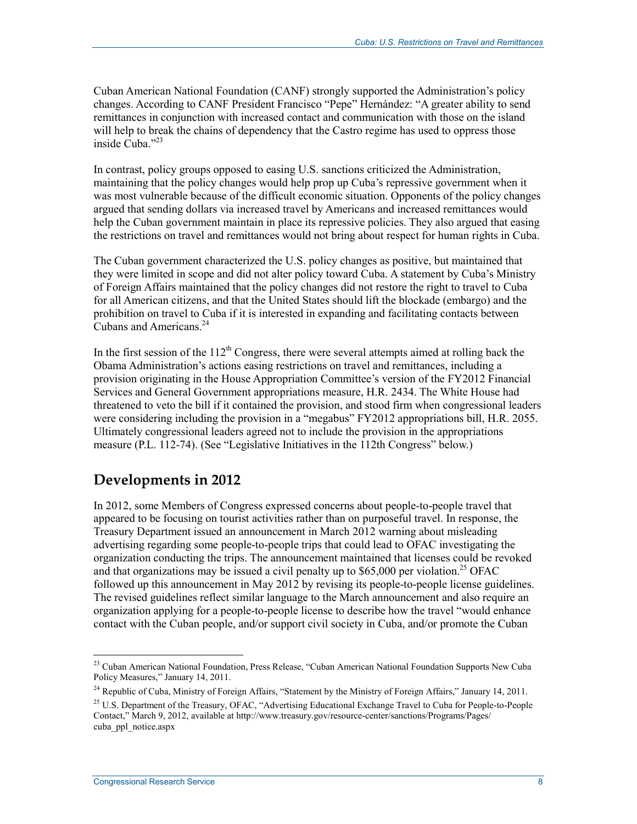Cuban American National Foundation (CANF) strongly supported the Administration's policy changes. According to CANF President Francisco "Pepe" Hernández: "A greater ability to send remittances in conjunction with increased contact and communication with those on the island will help to break the chains of dependency that the Castro regime has used to oppress those inside Cuba."<sup>23</sup>

In contrast, policy groups opposed to easing U.S. sanctions criticized the Administration, maintaining that the policy changes would help prop up Cuba's repressive government when it was most vulnerable because of the difficult economic situation. Opponents of the policy changes argued that sending dollars via increased travel by Americans and increased remittances would help the Cuban government maintain in place its repressive policies. They also argued that easing the restrictions on travel and remittances would not bring about respect for human rights in Cuba.

The Cuban government characterized the U.S. policy changes as positive, but maintained that they were limited in scope and did not alter policy toward Cuba. A statement by Cuba's Ministry of Foreign Affairs maintained that the policy changes did not restore the right to travel to Cuba for all American citizens, and that the United States should lift the blockade (embargo) and the prohibition on travel to Cuba if it is interested in expanding and facilitating contacts between Cubans and Americans.<sup>24</sup>

In the first session of the  $112<sup>th</sup>$  Congress, there were several attempts aimed at rolling back the Obama Administration's actions easing restrictions on travel and remittances, including a provision originating in the House Appropriation Committee's version of the FY2012 Financial Services and General Government appropriations measure, H.R. 2434. The White House had threatened to veto the bill if it contained the provision, and stood firm when congressional leaders were considering including the provision in a "megabus" FY2012 appropriations bill, H.R. 2055. Ultimately congressional leaders agreed not to include the provision in the appropriations measure (P.L. 112-74). (See "Legislative Initiatives in the 112th Congress" below.)

# **Developments in 2012**

In 2012, some Members of Congress expressed concerns about people-to-people travel that appeared to be focusing on tourist activities rather than on purposeful travel. In response, the Treasury Department issued an announcement in March 2012 warning about misleading advertising regarding some people-to-people trips that could lead to OFAC investigating the organization conducting the trips. The announcement maintained that licenses could be revoked and that organizations may be issued a civil penalty up to  $$65,000$  per violation.<sup>25</sup> OFAC followed up this announcement in May 2012 by revising its people-to-people license guidelines. The revised guidelines reflect similar language to the March announcement and also require an organization applying for a people-to-people license to describe how the travel "would enhance contact with the Cuban people, and/or support civil society in Cuba, and/or promote the Cuban

<sup>1</sup> <sup>23</sup> Cuban American National Foundation, Press Release, "Cuban American National Foundation Supports New Cuba Policy Measures," January 14, 2011.

<sup>&</sup>lt;sup>24</sup> Republic of Cuba, Ministry of Foreign Affairs, "Statement by the Ministry of Foreign Affairs," January 14, 2011.

<sup>&</sup>lt;sup>25</sup> U.S. Department of the Treasury, OFAC, "Advertising Educational Exchange Travel to Cuba for People-to-People Contact," March 9, 2012, available at http://www.treasury.gov/resource-center/sanctions/Programs/Pages/ cuba\_ppl\_notice.aspx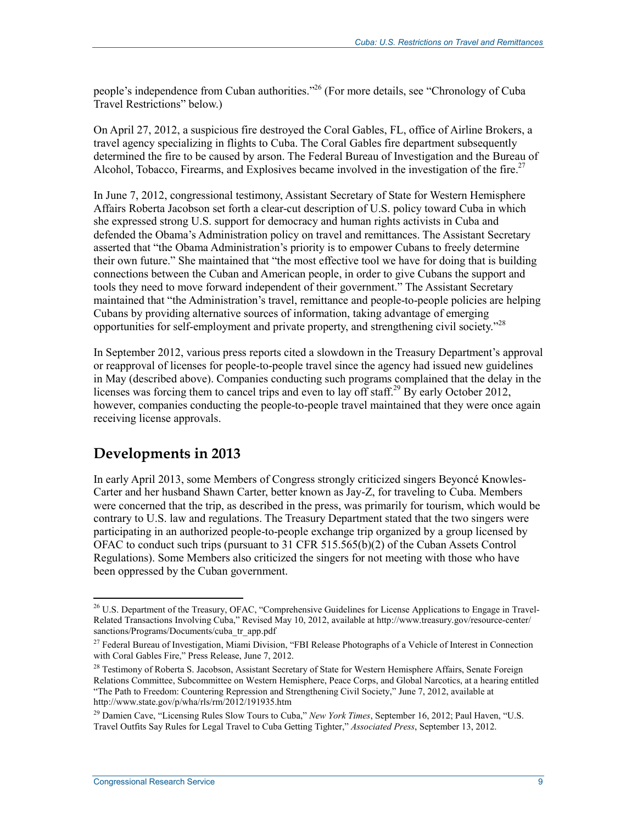people's independence from Cuban authorities."<sup>26</sup> (For more details, see "Chronology of Cuba Travel Restrictions" below.)

On April 27, 2012, a suspicious fire destroyed the Coral Gables, FL, office of Airline Brokers, a travel agency specializing in flights to Cuba. The Coral Gables fire department subsequently determined the fire to be caused by arson. The Federal Bureau of Investigation and the Bureau of Alcohol, Tobacco, Firearms, and Explosives became involved in the investigation of the fire.<sup>27</sup>

In June 7, 2012, congressional testimony, Assistant Secretary of State for Western Hemisphere Affairs Roberta Jacobson set forth a clear-cut description of U.S. policy toward Cuba in which she expressed strong U.S. support for democracy and human rights activists in Cuba and defended the Obama's Administration policy on travel and remittances. The Assistant Secretary asserted that "the Obama Administration's priority is to empower Cubans to freely determine their own future." She maintained that "the most effective tool we have for doing that is building connections between the Cuban and American people, in order to give Cubans the support and tools they need to move forward independent of their government." The Assistant Secretary maintained that "the Administration's travel, remittance and people-to-people policies are helping Cubans by providing alternative sources of information, taking advantage of emerging opportunities for self-employment and private property, and strengthening civil society."28

In September 2012, various press reports cited a slowdown in the Treasury Department's approval or reapproval of licenses for people-to-people travel since the agency had issued new guidelines in May (described above). Companies conducting such programs complained that the delay in the licenses was forcing them to cancel trips and even to lay off staff.<sup>29</sup> By early October 2012, however, companies conducting the people-to-people travel maintained that they were once again receiving license approvals.

## **Developments in 2013**

In early April 2013, some Members of Congress strongly criticized singers Beyoncé Knowles-Carter and her husband Shawn Carter, better known as Jay-Z, for traveling to Cuba. Members were concerned that the trip, as described in the press, was primarily for tourism, which would be contrary to U.S. law and regulations. The Treasury Department stated that the two singers were participating in an authorized people-to-people exchange trip organized by a group licensed by OFAC to conduct such trips (pursuant to 31 CFR 515.565(b)(2) of the Cuban Assets Control Regulations). Some Members also criticized the singers for not meeting with those who have been oppressed by the Cuban government.

<sup>&</sup>lt;u>.</u>  $^{26}$  U.S. Department of the Treasury, OFAC, "Comprehensive Guidelines for License Applications to Engage in Travel-Related Transactions Involving Cuba," Revised May 10, 2012, available at http://www.treasury.gov/resource-center/ sanctions/Programs/Documents/cuba\_tr\_app.pdf

<sup>&</sup>lt;sup>27</sup> Federal Bureau of Investigation, Miami Division, "FBI Release Photographs of a Vehicle of Interest in Connection with Coral Gables Fire," Press Release, June 7, 2012.

<sup>&</sup>lt;sup>28</sup> Testimony of Roberta S. Jacobson, Assistant Secretary of State for Western Hemisphere Affairs, Senate Foreign Relations Committee, Subcommittee on Western Hemisphere, Peace Corps, and Global Narcotics, at a hearing entitled "The Path to Freedom: Countering Repression and Strengthening Civil Society," June 7, 2012, available at http://www.state.gov/p/wha/rls/rm/2012/191935.htm

<sup>&</sup>lt;sup>29</sup> Damien Cave, "Licensing Rules Slow Tours to Cuba," *New York Times*, September 16, 2012; Paul Haven, "U.S. Travel Outfits Say Rules for Legal Travel to Cuba Getting Tighter," *Associated Press*, September 13, 2012.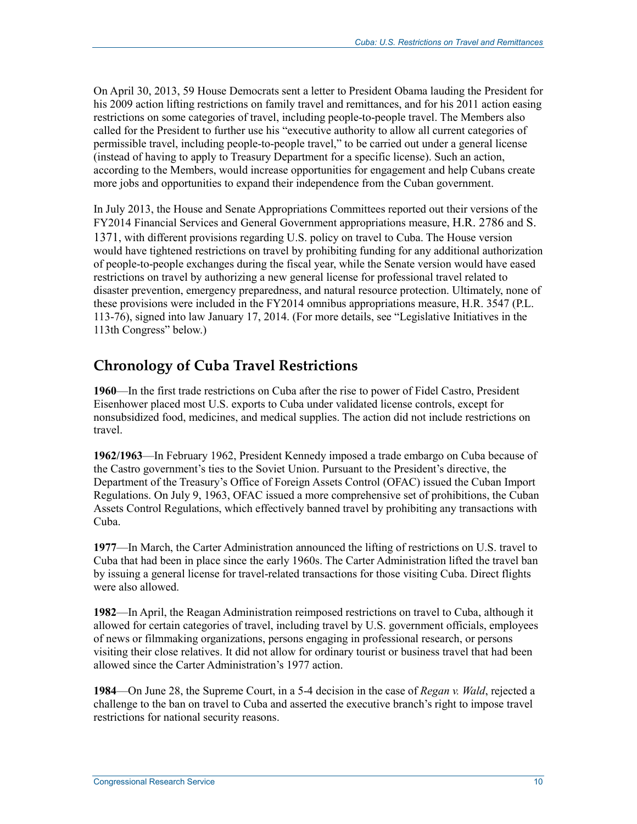On April 30, 2013, 59 House Democrats sent a letter to President Obama lauding the President for his 2009 action lifting restrictions on family travel and remittances, and for his 2011 action easing restrictions on some categories of travel, including people-to-people travel. The Members also called for the President to further use his "executive authority to allow all current categories of permissible travel, including people-to-people travel," to be carried out under a general license (instead of having to apply to Treasury Department for a specific license). Such an action, according to the Members, would increase opportunities for engagement and help Cubans create more jobs and opportunities to expand their independence from the Cuban government.

In July 2013, the House and Senate Appropriations Committees reported out their versions of the FY2014 Financial Services and General Government appropriations measure, H.R. 2786 and S. 1371, with different provisions regarding U.S. policy on travel to Cuba. The House version would have tightened restrictions on travel by prohibiting funding for any additional authorization of people-to-people exchanges during the fiscal year, while the Senate version would have eased restrictions on travel by authorizing a new general license for professional travel related to disaster prevention, emergency preparedness, and natural resource protection. Ultimately, none of these provisions were included in the FY2014 omnibus appropriations measure, H.R. 3547 (P.L. 113-76), signed into law January 17, 2014. (For more details, see "Legislative Initiatives in the 113th Congress" below.)

# **Chronology of Cuba Travel Restrictions**

**1960**—In the first trade restrictions on Cuba after the rise to power of Fidel Castro, President Eisenhower placed most U.S. exports to Cuba under validated license controls, except for nonsubsidized food, medicines, and medical supplies. The action did not include restrictions on travel.

**1962/1963**—In February 1962, President Kennedy imposed a trade embargo on Cuba because of the Castro government's ties to the Soviet Union. Pursuant to the President's directive, the Department of the Treasury's Office of Foreign Assets Control (OFAC) issued the Cuban Import Regulations. On July 9, 1963, OFAC issued a more comprehensive set of prohibitions, the Cuban Assets Control Regulations, which effectively banned travel by prohibiting any transactions with Cuba.

**1977**—In March, the Carter Administration announced the lifting of restrictions on U.S. travel to Cuba that had been in place since the early 1960s. The Carter Administration lifted the travel ban by issuing a general license for travel-related transactions for those visiting Cuba. Direct flights were also allowed.

**1982**—In April, the Reagan Administration reimposed restrictions on travel to Cuba, although it allowed for certain categories of travel, including travel by U.S. government officials, employees of news or filmmaking organizations, persons engaging in professional research, or persons visiting their close relatives. It did not allow for ordinary tourist or business travel that had been allowed since the Carter Administration's 1977 action.

**1984**—On June 28, the Supreme Court, in a 5-4 decision in the case of *Regan v. Wald*, rejected a challenge to the ban on travel to Cuba and asserted the executive branch's right to impose travel restrictions for national security reasons.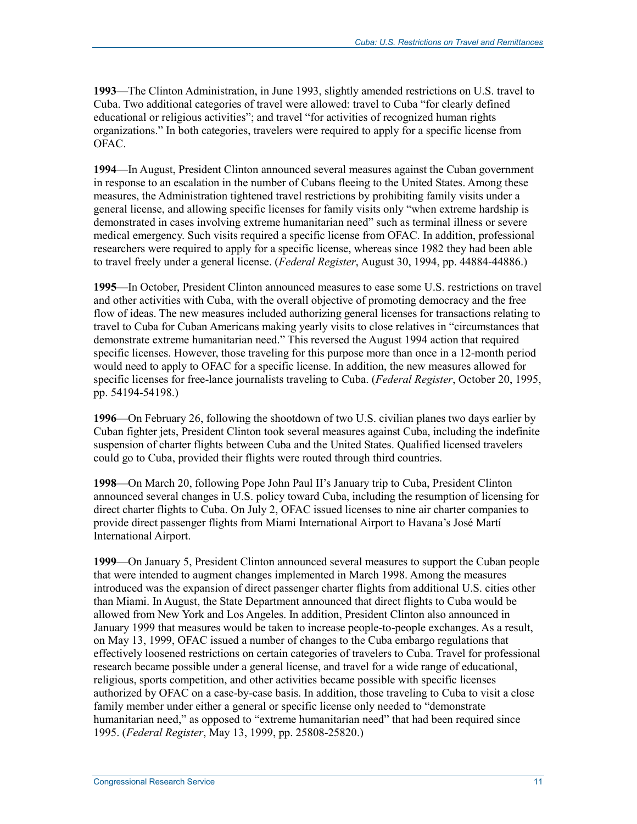**1993**—The Clinton Administration, in June 1993, slightly amended restrictions on U.S. travel to Cuba. Two additional categories of travel were allowed: travel to Cuba "for clearly defined educational or religious activities"; and travel "for activities of recognized human rights organizations." In both categories, travelers were required to apply for a specific license from OFAC.

**1994**—In August, President Clinton announced several measures against the Cuban government in response to an escalation in the number of Cubans fleeing to the United States. Among these measures, the Administration tightened travel restrictions by prohibiting family visits under a general license, and allowing specific licenses for family visits only "when extreme hardship is demonstrated in cases involving extreme humanitarian need" such as terminal illness or severe medical emergency. Such visits required a specific license from OFAC. In addition, professional researchers were required to apply for a specific license, whereas since 1982 they had been able to travel freely under a general license. (*Federal Register*, August 30, 1994, pp. 44884-44886.)

**1995**—In October, President Clinton announced measures to ease some U.S. restrictions on travel and other activities with Cuba, with the overall objective of promoting democracy and the free flow of ideas. The new measures included authorizing general licenses for transactions relating to travel to Cuba for Cuban Americans making yearly visits to close relatives in "circumstances that demonstrate extreme humanitarian need." This reversed the August 1994 action that required specific licenses. However, those traveling for this purpose more than once in a 12-month period would need to apply to OFAC for a specific license. In addition, the new measures allowed for specific licenses for free-lance journalists traveling to Cuba. (*Federal Register*, October 20, 1995, pp. 54194-54198.)

**1996**—On February 26, following the shootdown of two U.S. civilian planes two days earlier by Cuban fighter jets, President Clinton took several measures against Cuba, including the indefinite suspension of charter flights between Cuba and the United States. Qualified licensed travelers could go to Cuba, provided their flights were routed through third countries.

**1998**—On March 20, following Pope John Paul II's January trip to Cuba, President Clinton announced several changes in U.S. policy toward Cuba, including the resumption of licensing for direct charter flights to Cuba. On July 2, OFAC issued licenses to nine air charter companies to provide direct passenger flights from Miami International Airport to Havana's José Martí International Airport.

**1999**—On January 5, President Clinton announced several measures to support the Cuban people that were intended to augment changes implemented in March 1998. Among the measures introduced was the expansion of direct passenger charter flights from additional U.S. cities other than Miami. In August, the State Department announced that direct flights to Cuba would be allowed from New York and Los Angeles. In addition, President Clinton also announced in January 1999 that measures would be taken to increase people-to-people exchanges. As a result, on May 13, 1999, OFAC issued a number of changes to the Cuba embargo regulations that effectively loosened restrictions on certain categories of travelers to Cuba. Travel for professional research became possible under a general license, and travel for a wide range of educational, religious, sports competition, and other activities became possible with specific licenses authorized by OFAC on a case-by-case basis. In addition, those traveling to Cuba to visit a close family member under either a general or specific license only needed to "demonstrate humanitarian need," as opposed to "extreme humanitarian need" that had been required since 1995. (*Federal Register*, May 13, 1999, pp. 25808-25820.)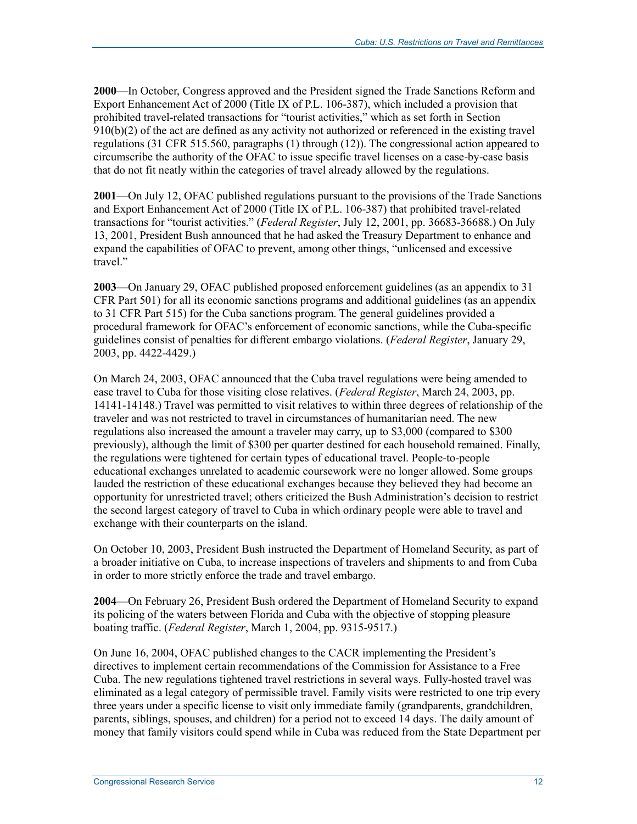**2000**—In October, Congress approved and the President signed the Trade Sanctions Reform and Export Enhancement Act of 2000 (Title IX of P.L. 106-387), which included a provision that prohibited travel-related transactions for "tourist activities," which as set forth in Section 910(b)(2) of the act are defined as any activity not authorized or referenced in the existing travel regulations (31 CFR 515.560, paragraphs (1) through (12)). The congressional action appeared to circumscribe the authority of the OFAC to issue specific travel licenses on a case-by-case basis that do not fit neatly within the categories of travel already allowed by the regulations.

**2001**—On July 12, OFAC published regulations pursuant to the provisions of the Trade Sanctions and Export Enhancement Act of 2000 (Title IX of P.L. 106-387) that prohibited travel-related transactions for "tourist activities." (*Federal Register*, July 12, 2001, pp. 36683-36688.) On July 13, 2001, President Bush announced that he had asked the Treasury Department to enhance and expand the capabilities of OFAC to prevent, among other things, "unlicensed and excessive travel"

**2003**—On January 29, OFAC published proposed enforcement guidelines (as an appendix to 31 CFR Part 501) for all its economic sanctions programs and additional guidelines (as an appendix to 31 CFR Part 515) for the Cuba sanctions program. The general guidelines provided a procedural framework for OFAC's enforcement of economic sanctions, while the Cuba-specific guidelines consist of penalties for different embargo violations. (*Federal Register*, January 29, 2003, pp. 4422-4429.)

On March 24, 2003, OFAC announced that the Cuba travel regulations were being amended to ease travel to Cuba for those visiting close relatives. (*Federal Register*, March 24, 2003, pp. 14141-14148.) Travel was permitted to visit relatives to within three degrees of relationship of the traveler and was not restricted to travel in circumstances of humanitarian need. The new regulations also increased the amount a traveler may carry, up to \$3,000 (compared to \$300 previously), although the limit of \$300 per quarter destined for each household remained. Finally, the regulations were tightened for certain types of educational travel. People-to-people educational exchanges unrelated to academic coursework were no longer allowed. Some groups lauded the restriction of these educational exchanges because they believed they had become an opportunity for unrestricted travel; others criticized the Bush Administration's decision to restrict the second largest category of travel to Cuba in which ordinary people were able to travel and exchange with their counterparts on the island.

On October 10, 2003, President Bush instructed the Department of Homeland Security, as part of a broader initiative on Cuba, to increase inspections of travelers and shipments to and from Cuba in order to more strictly enforce the trade and travel embargo.

**2004**—On February 26, President Bush ordered the Department of Homeland Security to expand its policing of the waters between Florida and Cuba with the objective of stopping pleasure boating traffic. (*Federal Register*, March 1, 2004, pp. 9315-9517.)

On June 16, 2004, OFAC published changes to the CACR implementing the President's directives to implement certain recommendations of the Commission for Assistance to a Free Cuba. The new regulations tightened travel restrictions in several ways. Fully-hosted travel was eliminated as a legal category of permissible travel. Family visits were restricted to one trip every three years under a specific license to visit only immediate family (grandparents, grandchildren, parents, siblings, spouses, and children) for a period not to exceed 14 days. The daily amount of money that family visitors could spend while in Cuba was reduced from the State Department per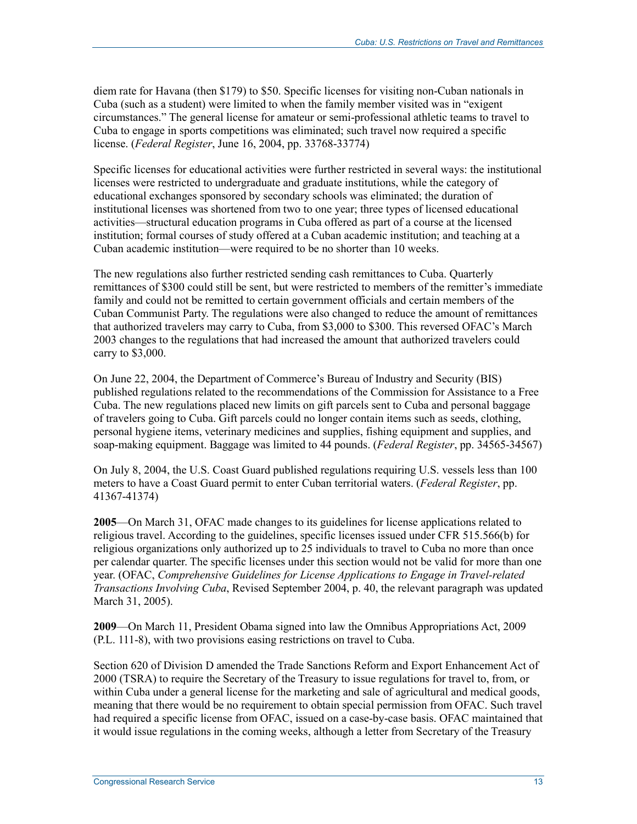diem rate for Havana (then \$179) to \$50. Specific licenses for visiting non-Cuban nationals in Cuba (such as a student) were limited to when the family member visited was in "exigent circumstances." The general license for amateur or semi-professional athletic teams to travel to Cuba to engage in sports competitions was eliminated; such travel now required a specific license. (*Federal Register*, June 16, 2004, pp. 33768-33774)

Specific licenses for educational activities were further restricted in several ways: the institutional licenses were restricted to undergraduate and graduate institutions, while the category of educational exchanges sponsored by secondary schools was eliminated; the duration of institutional licenses was shortened from two to one year; three types of licensed educational activities—structural education programs in Cuba offered as part of a course at the licensed institution; formal courses of study offered at a Cuban academic institution; and teaching at a Cuban academic institution—were required to be no shorter than 10 weeks.

The new regulations also further restricted sending cash remittances to Cuba. Quarterly remittances of \$300 could still be sent, but were restricted to members of the remitter's immediate family and could not be remitted to certain government officials and certain members of the Cuban Communist Party. The regulations were also changed to reduce the amount of remittances that authorized travelers may carry to Cuba, from \$3,000 to \$300. This reversed OFAC's March 2003 changes to the regulations that had increased the amount that authorized travelers could carry to \$3,000.

On June 22, 2004, the Department of Commerce's Bureau of Industry and Security (BIS) published regulations related to the recommendations of the Commission for Assistance to a Free Cuba. The new regulations placed new limits on gift parcels sent to Cuba and personal baggage of travelers going to Cuba. Gift parcels could no longer contain items such as seeds, clothing, personal hygiene items, veterinary medicines and supplies, fishing equipment and supplies, and soap-making equipment. Baggage was limited to 44 pounds. (*Federal Register*, pp. 34565-34567)

On July 8, 2004, the U.S. Coast Guard published regulations requiring U.S. vessels less than 100 meters to have a Coast Guard permit to enter Cuban territorial waters. (*Federal Register*, pp. 41367-41374)

**2005**—On March 31, OFAC made changes to its guidelines for license applications related to religious travel. According to the guidelines, specific licenses issued under CFR 515.566(b) for religious organizations only authorized up to 25 individuals to travel to Cuba no more than once per calendar quarter. The specific licenses under this section would not be valid for more than one year. (OFAC, *Comprehensive Guidelines for License Applications to Engage in Travel-related Transactions Involving Cuba*, Revised September 2004, p. 40, the relevant paragraph was updated March 31, 2005).

**2009**—On March 11, President Obama signed into law the Omnibus Appropriations Act, 2009 (P.L. 111-8), with two provisions easing restrictions on travel to Cuba.

Section 620 of Division D amended the Trade Sanctions Reform and Export Enhancement Act of 2000 (TSRA) to require the Secretary of the Treasury to issue regulations for travel to, from, or within Cuba under a general license for the marketing and sale of agricultural and medical goods, meaning that there would be no requirement to obtain special permission from OFAC. Such travel had required a specific license from OFAC, issued on a case-by-case basis. OFAC maintained that it would issue regulations in the coming weeks, although a letter from Secretary of the Treasury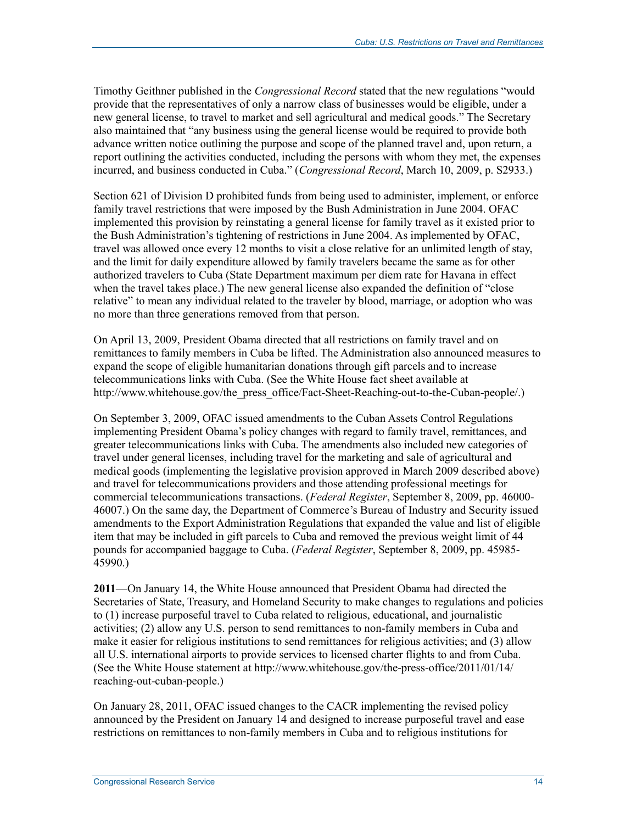Timothy Geithner published in the *Congressional Record* stated that the new regulations "would provide that the representatives of only a narrow class of businesses would be eligible, under a new general license, to travel to market and sell agricultural and medical goods." The Secretary also maintained that "any business using the general license would be required to provide both advance written notice outlining the purpose and scope of the planned travel and, upon return, a report outlining the activities conducted, including the persons with whom they met, the expenses incurred, and business conducted in Cuba." (*Congressional Record*, March 10, 2009, p. S2933.)

Section 621 of Division D prohibited funds from being used to administer, implement, or enforce family travel restrictions that were imposed by the Bush Administration in June 2004. OFAC implemented this provision by reinstating a general license for family travel as it existed prior to the Bush Administration's tightening of restrictions in June 2004. As implemented by OFAC, travel was allowed once every 12 months to visit a close relative for an unlimited length of stay, and the limit for daily expenditure allowed by family travelers became the same as for other authorized travelers to Cuba (State Department maximum per diem rate for Havana in effect when the travel takes place.) The new general license also expanded the definition of "close relative" to mean any individual related to the traveler by blood, marriage, or adoption who was no more than three generations removed from that person.

On April 13, 2009, President Obama directed that all restrictions on family travel and on remittances to family members in Cuba be lifted. The Administration also announced measures to expand the scope of eligible humanitarian donations through gift parcels and to increase telecommunications links with Cuba. (See the White House fact sheet available at http://www.whitehouse.gov/the\_press\_office/Fact-Sheet-Reaching-out-to-the-Cuban-people/.)

On September 3, 2009, OFAC issued amendments to the Cuban Assets Control Regulations implementing President Obama's policy changes with regard to family travel, remittances, and greater telecommunications links with Cuba. The amendments also included new categories of travel under general licenses, including travel for the marketing and sale of agricultural and medical goods (implementing the legislative provision approved in March 2009 described above) and travel for telecommunications providers and those attending professional meetings for commercial telecommunications transactions. (*Federal Register*, September 8, 2009, pp. 46000- 46007.) On the same day, the Department of Commerce's Bureau of Industry and Security issued amendments to the Export Administration Regulations that expanded the value and list of eligible item that may be included in gift parcels to Cuba and removed the previous weight limit of 44 pounds for accompanied baggage to Cuba. (*Federal Register*, September 8, 2009, pp. 45985- 45990.)

**2011**—On January 14, the White House announced that President Obama had directed the Secretaries of State, Treasury, and Homeland Security to make changes to regulations and policies to (1) increase purposeful travel to Cuba related to religious, educational, and journalistic activities; (2) allow any U.S. person to send remittances to non-family members in Cuba and make it easier for religious institutions to send remittances for religious activities; and (3) allow all U.S. international airports to provide services to licensed charter flights to and from Cuba. (See the White House statement at http://www.whitehouse.gov/the-press-office/2011/01/14/ reaching-out-cuban-people.)

On January 28, 2011, OFAC issued changes to the CACR implementing the revised policy announced by the President on January 14 and designed to increase purposeful travel and ease restrictions on remittances to non-family members in Cuba and to religious institutions for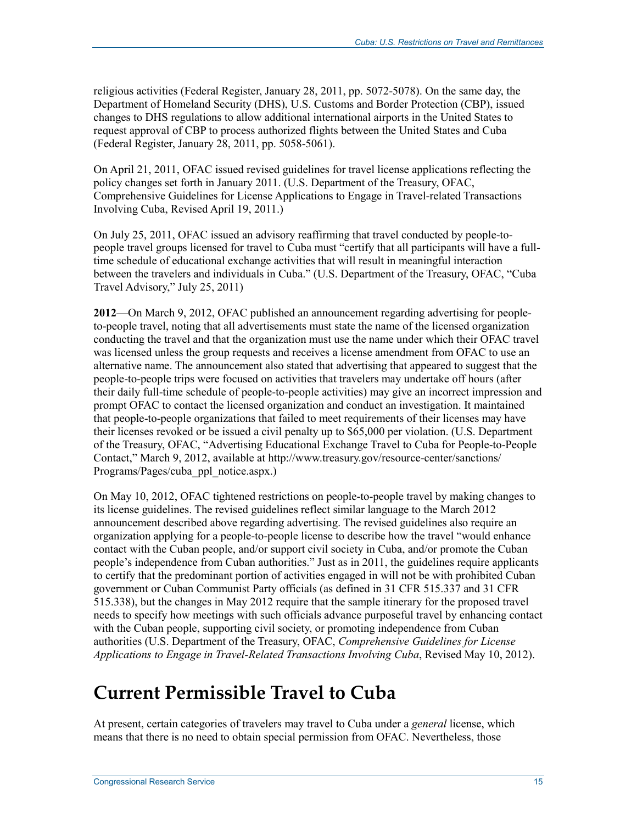religious activities (Federal Register, January 28, 2011, pp. 5072-5078). On the same day, the Department of Homeland Security (DHS), U.S. Customs and Border Protection (CBP), issued changes to DHS regulations to allow additional international airports in the United States to request approval of CBP to process authorized flights between the United States and Cuba (Federal Register, January 28, 2011, pp. 5058-5061).

On April 21, 2011, OFAC issued revised guidelines for travel license applications reflecting the policy changes set forth in January 2011. (U.S. Department of the Treasury, OFAC, Comprehensive Guidelines for License Applications to Engage in Travel-related Transactions Involving Cuba, Revised April 19, 2011.)

On July 25, 2011, OFAC issued an advisory reaffirming that travel conducted by people-topeople travel groups licensed for travel to Cuba must "certify that all participants will have a fulltime schedule of educational exchange activities that will result in meaningful interaction between the travelers and individuals in Cuba." (U.S. Department of the Treasury, OFAC, "Cuba Travel Advisory," July 25, 2011)

**2012**—On March 9, 2012, OFAC published an announcement regarding advertising for peopleto-people travel, noting that all advertisements must state the name of the licensed organization conducting the travel and that the organization must use the name under which their OFAC travel was licensed unless the group requests and receives a license amendment from OFAC to use an alternative name. The announcement also stated that advertising that appeared to suggest that the people-to-people trips were focused on activities that travelers may undertake off hours (after their daily full-time schedule of people-to-people activities) may give an incorrect impression and prompt OFAC to contact the licensed organization and conduct an investigation. It maintained that people-to-people organizations that failed to meet requirements of their licenses may have their licenses revoked or be issued a civil penalty up to \$65,000 per violation. (U.S. Department of the Treasury, OFAC, "Advertising Educational Exchange Travel to Cuba for People-to-People Contact," March 9, 2012, available at http://www.treasury.gov/resource-center/sanctions/ Programs/Pages/cuba\_ppl\_notice.aspx.)

On May 10, 2012, OFAC tightened restrictions on people-to-people travel by making changes to its license guidelines. The revised guidelines reflect similar language to the March 2012 announcement described above regarding advertising. The revised guidelines also require an organization applying for a people-to-people license to describe how the travel "would enhance contact with the Cuban people, and/or support civil society in Cuba, and/or promote the Cuban people's independence from Cuban authorities." Just as in 2011, the guidelines require applicants to certify that the predominant portion of activities engaged in will not be with prohibited Cuban government or Cuban Communist Party officials (as defined in 31 CFR 515.337 and 31 CFR 515.338), but the changes in May 2012 require that the sample itinerary for the proposed travel needs to specify how meetings with such officials advance purposeful travel by enhancing contact with the Cuban people, supporting civil society, or promoting independence from Cuban authorities (U.S. Department of the Treasury, OFAC, *Comprehensive Guidelines for License Applications to Engage in Travel-Related Transactions Involving Cuba*, Revised May 10, 2012).

# **Current Permissible Travel to Cuba**

At present, certain categories of travelers may travel to Cuba under a *general* license, which means that there is no need to obtain special permission from OFAC. Nevertheless, those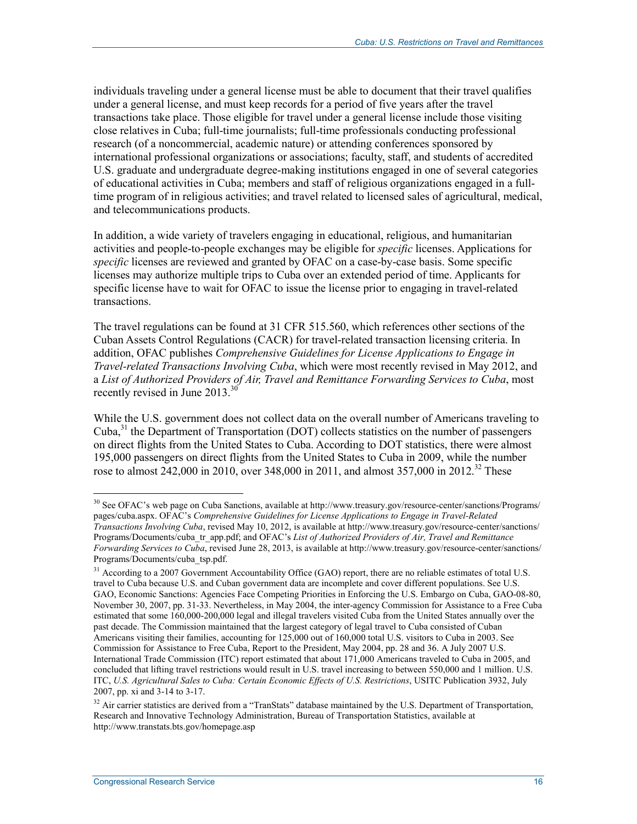individuals traveling under a general license must be able to document that their travel qualifies under a general license, and must keep records for a period of five years after the travel transactions take place. Those eligible for travel under a general license include those visiting close relatives in Cuba; full-time journalists; full-time professionals conducting professional research (of a noncommercial, academic nature) or attending conferences sponsored by international professional organizations or associations; faculty, staff, and students of accredited U.S. graduate and undergraduate degree-making institutions engaged in one of several categories of educational activities in Cuba; members and staff of religious organizations engaged in a fulltime program of in religious activities; and travel related to licensed sales of agricultural, medical, and telecommunications products.

In addition, a wide variety of travelers engaging in educational, religious, and humanitarian activities and people-to-people exchanges may be eligible for *specific* licenses. Applications for *specific* licenses are reviewed and granted by OFAC on a case-by-case basis. Some specific licenses may authorize multiple trips to Cuba over an extended period of time. Applicants for specific license have to wait for OFAC to issue the license prior to engaging in travel-related transactions.

The travel regulations can be found at 31 CFR 515.560, which references other sections of the Cuban Assets Control Regulations (CACR) for travel-related transaction licensing criteria. In addition, OFAC publishes *Comprehensive Guidelines for License Applications to Engage in Travel-related Transactions Involving Cuba*, which were most recently revised in May 2012, and a *List of Authorized Providers of Air, Travel and Remittance Forwarding Services to Cuba*, most recently revised in June  $2013$ .<sup>30</sup>

While the U.S. government does not collect data on the overall number of Americans traveling to Cuba, $31$  the Department of Transportation (DOT) collects statistics on the number of passengers on direct flights from the United States to Cuba. According to DOT statistics, there were almost 195,000 passengers on direct flights from the United States to Cuba in 2009, while the number rose to almost 242,000 in 2010, over 348,000 in 2011, and almost 357,000 in 2012.<sup>32</sup> These

<sup>&</sup>lt;u>.</u> <sup>30</sup> See OFAC's web page on Cuba Sanctions, available at http://www.treasury.gov/resource-center/sanctions/Programs/ pages/cuba.aspx. OFAC's *Comprehensive Guidelines for License Applications to Engage in Travel-Related Transactions Involving Cuba*, revised May 10, 2012, is available at http://www.treasury.gov/resource-center/sanctions/ Programs/Documents/cuba\_tr\_app.pdf; and OFAC's *List of Authorized Providers of Air, Travel and Remittance Forwarding Services to Cuba*, revised June 28, 2013, is available at http://www.treasury.gov/resource-center/sanctions/ Programs/Documents/cuba\_tsp.pdf.

 $31$  According to a 2007 Government Accountability Office (GAO) report, there are no reliable estimates of total U.S. travel to Cuba because U.S. and Cuban government data are incomplete and cover different populations. See U.S. GAO, Economic Sanctions: Agencies Face Competing Priorities in Enforcing the U.S. Embargo on Cuba, GAO-08-80, November 30, 2007, pp. 31-33. Nevertheless, in May 2004, the inter-agency Commission for Assistance to a Free Cuba estimated that some 160,000-200,000 legal and illegal travelers visited Cuba from the United States annually over the past decade. The Commission maintained that the largest category of legal travel to Cuba consisted of Cuban Americans visiting their families, accounting for 125,000 out of 160,000 total U.S. visitors to Cuba in 2003. See Commission for Assistance to Free Cuba, Report to the President, May 2004, pp. 28 and 36. A July 2007 U.S. International Trade Commission (ITC) report estimated that about 171,000 Americans traveled to Cuba in 2005, and concluded that lifting travel restrictions would result in U.S. travel increasing to between 550,000 and 1 million. U.S. ITC, *U.S. Agricultural Sales to Cuba: Certain Economic Effects of U.S. Restrictions*, USITC Publication 3932, July 2007, pp. xi and 3-14 to 3-17.

<sup>&</sup>lt;sup>32</sup> Air carrier statistics are derived from a "TranStats" database maintained by the U.S. Department of Transportation, Research and Innovative Technology Administration, Bureau of Transportation Statistics, available at http://www.transtats.bts.gov/homepage.asp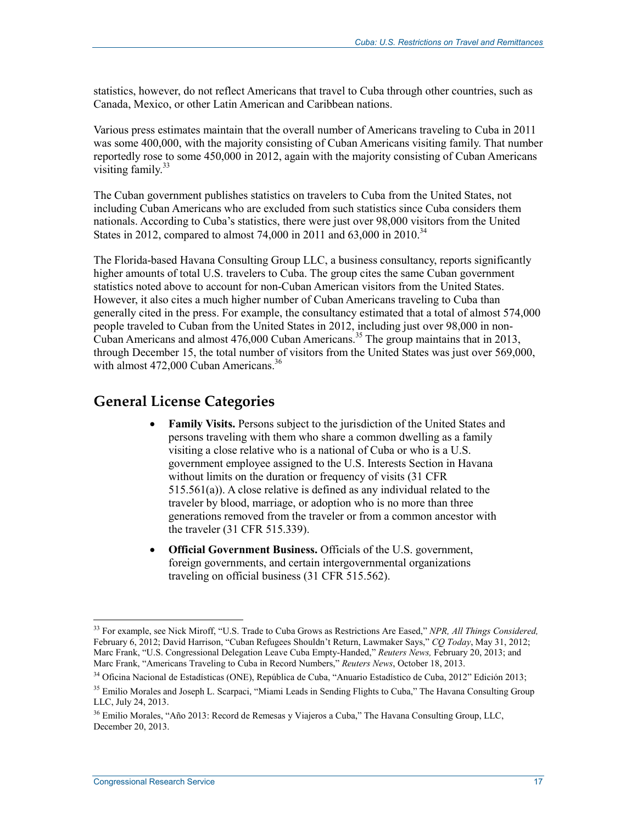statistics, however, do not reflect Americans that travel to Cuba through other countries, such as Canada, Mexico, or other Latin American and Caribbean nations.

Various press estimates maintain that the overall number of Americans traveling to Cuba in 2011 was some 400,000, with the majority consisting of Cuban Americans visiting family. That number reportedly rose to some 450,000 in 2012, again with the majority consisting of Cuban Americans visiting family.<sup>33</sup>

The Cuban government publishes statistics on travelers to Cuba from the United States, not including Cuban Americans who are excluded from such statistics since Cuba considers them nationals. According to Cuba's statistics, there were just over 98,000 visitors from the United States in 2012, compared to almost 74,000 in 2011 and 63,000 in 2010.<sup>34</sup>

The Florida-based Havana Consulting Group LLC, a business consultancy, reports significantly higher amounts of total U.S. travelers to Cuba. The group cites the same Cuban government statistics noted above to account for non-Cuban American visitors from the United States. However, it also cites a much higher number of Cuban Americans traveling to Cuba than generally cited in the press. For example, the consultancy estimated that a total of almost 574,000 people traveled to Cuban from the United States in 2012, including just over 98,000 in non-Cuban Americans and almost 476,000 Cuban Americans.35 The group maintains that in 2013, through December 15, the total number of visitors from the United States was just over 569,000, with almost  $472,000$  Cuban Americans.<sup>36</sup>

## **General License Categories**

- **Family Visits.** Persons subject to the jurisdiction of the United States and persons traveling with them who share a common dwelling as a family visiting a close relative who is a national of Cuba or who is a U.S. government employee assigned to the U.S. Interests Section in Havana without limits on the duration or frequency of visits (31 CFR 515.561(a)). A close relative is defined as any individual related to the traveler by blood, marriage, or adoption who is no more than three generations removed from the traveler or from a common ancestor with the traveler (31 CFR 515.339).
- **Official Government Business.** Officials of the U.S. government, foreign governments, and certain intergovernmental organizations traveling on official business (31 CFR 515.562).

<sup>33</sup> For example, see Nick Miroff, "U.S. Trade to Cuba Grows as Restrictions Are Eased," *NPR, All Things Considered,* February 6, 2012; David Harrison, "Cuban Refugees Shouldn't Return, Lawmaker Says," *CQ Today*, May 31, 2012; Marc Frank, "U.S. Congressional Delegation Leave Cuba Empty-Handed," *Reuters News,* February 20, 2013; and Marc Frank, "Americans Traveling to Cuba in Record Numbers," *Reuters News*, October 18, 2013.

<sup>34</sup> Oficina Nacional de Estadísticas (ONE), República de Cuba, "Anuario Estadístico de Cuba, 2012" Edición 2013;

<sup>&</sup>lt;sup>35</sup> Emilio Morales and Joseph L. Scarpaci, "Miami Leads in Sending Flights to Cuba," The Havana Consulting Group LLC, July 24, 2013.

<sup>36</sup> Emilio Morales, "Año 2013: Record de Remesas y Viajeros a Cuba," The Havana Consulting Group, LLC, December 20, 2013.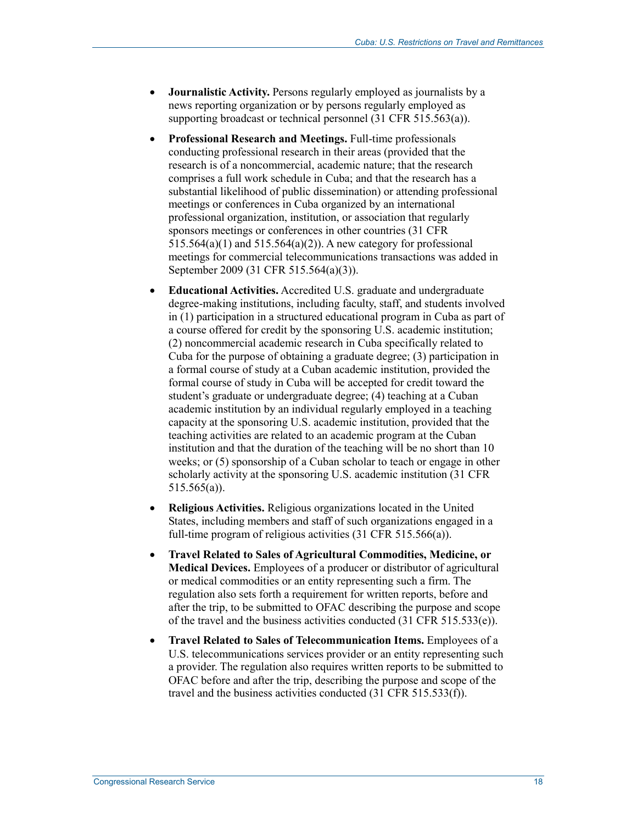- **Journalistic Activity.** Persons regularly employed as journalists by a news reporting organization or by persons regularly employed as supporting broadcast or technical personnel (31 CFR 515.563(a)).
- **Professional Research and Meetings.** Full-time professionals conducting professional research in their areas (provided that the research is of a noncommercial, academic nature; that the research comprises a full work schedule in Cuba; and that the research has a substantial likelihood of public dissemination) or attending professional meetings or conferences in Cuba organized by an international professional organization, institution, or association that regularly sponsors meetings or conferences in other countries (31 CFR  $515.564(a)(1)$  and  $515.564(a)(2)$ ). A new category for professional meetings for commercial telecommunications transactions was added in September 2009 (31 CFR 515.564(a)(3)).
- **Educational Activities.** Accredited U.S. graduate and undergraduate degree-making institutions, including faculty, staff, and students involved in (1) participation in a structured educational program in Cuba as part of a course offered for credit by the sponsoring U.S. academic institution; (2) noncommercial academic research in Cuba specifically related to Cuba for the purpose of obtaining a graduate degree; (3) participation in a formal course of study at a Cuban academic institution, provided the formal course of study in Cuba will be accepted for credit toward the student's graduate or undergraduate degree; (4) teaching at a Cuban academic institution by an individual regularly employed in a teaching capacity at the sponsoring U.S. academic institution, provided that the teaching activities are related to an academic program at the Cuban institution and that the duration of the teaching will be no short than 10 weeks; or (5) sponsorship of a Cuban scholar to teach or engage in other scholarly activity at the sponsoring U.S. academic institution (31 CFR 515.565(a)).
- **Religious Activities.** Religious organizations located in the United States, including members and staff of such organizations engaged in a full-time program of religious activities (31 CFR 515.566(a)).
- **Travel Related to Sales of Agricultural Commodities, Medicine, or Medical Devices.** Employees of a producer or distributor of agricultural or medical commodities or an entity representing such a firm. The regulation also sets forth a requirement for written reports, before and after the trip, to be submitted to OFAC describing the purpose and scope of the travel and the business activities conducted (31 CFR 515.533(e)).
- **Travel Related to Sales of Telecommunication Items.** Employees of a U.S. telecommunications services provider or an entity representing such a provider. The regulation also requires written reports to be submitted to OFAC before and after the trip, describing the purpose and scope of the travel and the business activities conducted (31 CFR 515.533(f)).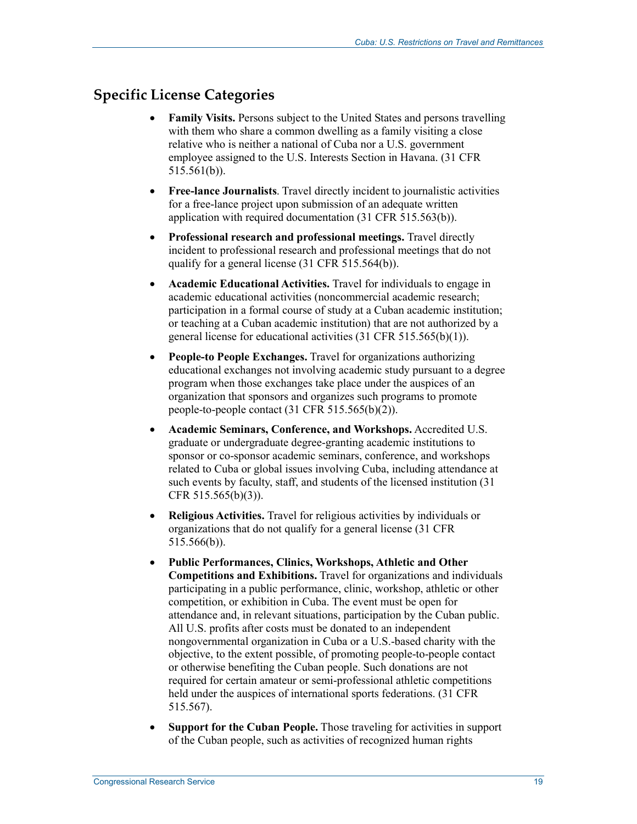# **Specific License Categories**

- **Family Visits.** Persons subject to the United States and persons travelling with them who share a common dwelling as a family visiting a close relative who is neither a national of Cuba nor a U.S. government employee assigned to the U.S. Interests Section in Havana. (31 CFR 515.561(b)).
- **Free-lance Journalists**. Travel directly incident to journalistic activities for a free-lance project upon submission of an adequate written application with required documentation (31 CFR 515.563(b)).
- **Professional research and professional meetings.** Travel directly incident to professional research and professional meetings that do not qualify for a general license (31 CFR 515.564(b)).
- **Academic Educational Activities.** Travel for individuals to engage in academic educational activities (noncommercial academic research; participation in a formal course of study at a Cuban academic institution; or teaching at a Cuban academic institution) that are not authorized by a general license for educational activities (31 CFR 515.565(b)(1)).
- **People-to People Exchanges.** Travel for organizations authorizing educational exchanges not involving academic study pursuant to a degree program when those exchanges take place under the auspices of an organization that sponsors and organizes such programs to promote people-to-people contact (31 CFR 515.565(b)(2)).
- **Academic Seminars, Conference, and Workshops.** Accredited U.S. graduate or undergraduate degree-granting academic institutions to sponsor or co-sponsor academic seminars, conference, and workshops related to Cuba or global issues involving Cuba, including attendance at such events by faculty, staff, and students of the licensed institution (31 CFR 515.565(b)(3)).
- **Religious Activities.** Travel for religious activities by individuals or organizations that do not qualify for a general license (31 CFR 515.566(b)).
- **Public Performances, Clinics, Workshops, Athletic and Other Competitions and Exhibitions.** Travel for organizations and individuals participating in a public performance, clinic, workshop, athletic or other competition, or exhibition in Cuba. The event must be open for attendance and, in relevant situations, participation by the Cuban public. All U.S. profits after costs must be donated to an independent nongovernmental organization in Cuba or a U.S.-based charity with the objective, to the extent possible, of promoting people-to-people contact or otherwise benefiting the Cuban people. Such donations are not required for certain amateur or semi-professional athletic competitions held under the auspices of international sports federations. (31 CFR 515.567).
- **Support for the Cuban People.** Those traveling for activities in support of the Cuban people, such as activities of recognized human rights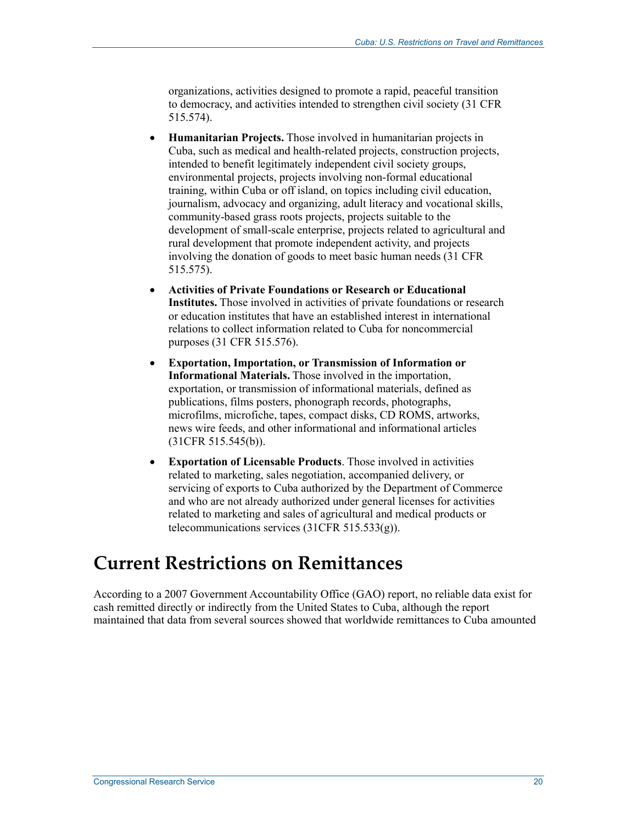organizations, activities designed to promote a rapid, peaceful transition to democracy, and activities intended to strengthen civil society (31 CFR 515.574).

- **Humanitarian Projects.** Those involved in humanitarian projects in Cuba, such as medical and health-related projects, construction projects, intended to benefit legitimately independent civil society groups, environmental projects, projects involving non-formal educational training, within Cuba or off island, on topics including civil education, journalism, advocacy and organizing, adult literacy and vocational skills, community-based grass roots projects, projects suitable to the development of small-scale enterprise, projects related to agricultural and rural development that promote independent activity, and projects involving the donation of goods to meet basic human needs (31 CFR 515.575).
- **Activities of Private Foundations or Research or Educational Institutes.** Those involved in activities of private foundations or research or education institutes that have an established interest in international relations to collect information related to Cuba for noncommercial purposes (31 CFR 515.576).
- **Exportation, Importation, or Transmission of Information or Informational Materials.** Those involved in the importation, exportation, or transmission of informational materials, defined as publications, films posters, phonograph records, photographs, microfilms, microfiche, tapes, compact disks, CD ROMS, artworks, news wire feeds, and other informational and informational articles (31CFR 515.545(b)).
- **Exportation of Licensable Products**. Those involved in activities related to marketing, sales negotiation, accompanied delivery, or servicing of exports to Cuba authorized by the Department of Commerce and who are not already authorized under general licenses for activities related to marketing and sales of agricultural and medical products or telecommunications services (31CFR 515.533(g)).

# **Current Restrictions on Remittances**

According to a 2007 Government Accountability Office (GAO) report, no reliable data exist for cash remitted directly or indirectly from the United States to Cuba, although the report maintained that data from several sources showed that worldwide remittances to Cuba amounted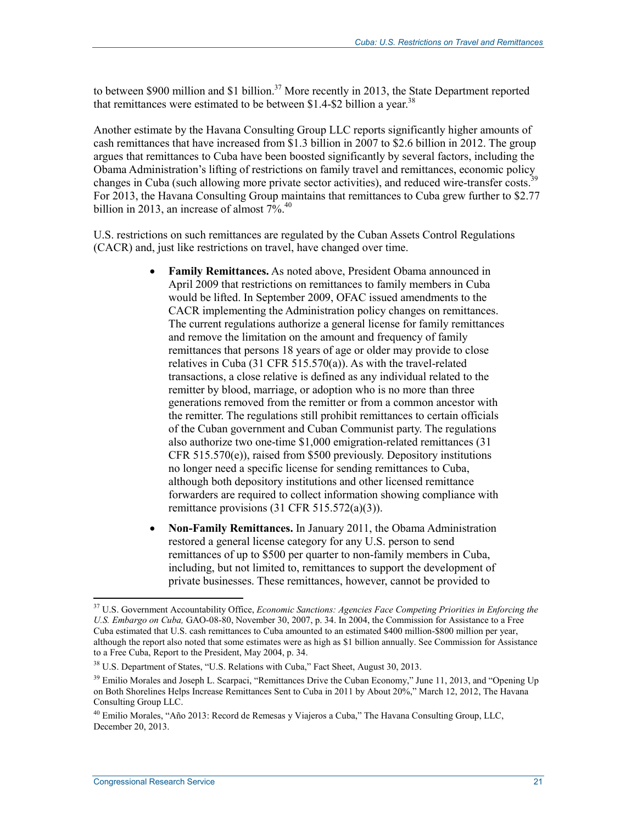to between \$900 million and \$1 billion.<sup>37</sup> More recently in 2013, the State Department reported that remittances were estimated to be between  $$1.4-S2$  billion a year.<sup>38</sup>

Another estimate by the Havana Consulting Group LLC reports significantly higher amounts of cash remittances that have increased from \$1.3 billion in 2007 to \$2.6 billion in 2012. The group argues that remittances to Cuba have been boosted significantly by several factors, including the Obama Administration's lifting of restrictions on family travel and remittances, economic policy changes in Cuba (such allowing more private sector activities), and reduced wire-transfer costs.<sup>39</sup> For 2013, the Havana Consulting Group maintains that remittances to Cuba grew further to \$2.77 billion in 2013, an increase of almost  $7\%$ .<sup>40</sup>

U.S. restrictions on such remittances are regulated by the Cuban Assets Control Regulations (CACR) and, just like restrictions on travel, have changed over time.

- **Family Remittances.** As noted above, President Obama announced in April 2009 that restrictions on remittances to family members in Cuba would be lifted. In September 2009, OFAC issued amendments to the CACR implementing the Administration policy changes on remittances. The current regulations authorize a general license for family remittances and remove the limitation on the amount and frequency of family remittances that persons 18 years of age or older may provide to close relatives in Cuba (31 CFR 515.570(a)). As with the travel-related transactions, a close relative is defined as any individual related to the remitter by blood, marriage, or adoption who is no more than three generations removed from the remitter or from a common ancestor with the remitter. The regulations still prohibit remittances to certain officials of the Cuban government and Cuban Communist party. The regulations also authorize two one-time \$1,000 emigration-related remittances (31 CFR 515.570(e)), raised from \$500 previously. Depository institutions no longer need a specific license for sending remittances to Cuba, although both depository institutions and other licensed remittance forwarders are required to collect information showing compliance with remittance provisions (31 CFR 515.572(a)(3)).
- **Non-Family Remittances.** In January 2011, the Obama Administration restored a general license category for any U.S. person to send remittances of up to \$500 per quarter to non-family members in Cuba, including, but not limited to, remittances to support the development of private businesses. These remittances, however, cannot be provided to

<u>.</u>

<sup>37</sup> U.S. Government Accountability Office, *Economic Sanctions: Agencies Face Competing Priorities in Enforcing the U.S. Embargo on Cuba,* GAO-08-80, November 30, 2007, p. 34. In 2004, the Commission for Assistance to a Free Cuba estimated that U.S. cash remittances to Cuba amounted to an estimated \$400 million-\$800 million per year, although the report also noted that some estimates were as high as \$1 billion annually. See Commission for Assistance to a Free Cuba, Report to the President, May 2004, p. 34.

<sup>&</sup>lt;sup>38</sup> U.S. Department of States, "U.S. Relations with Cuba," Fact Sheet, August 30, 2013.

 $39$  Emilio Morales and Joseph L. Scarpaci, "Remittances Drive the Cuban Economy," June 11, 2013, and "Opening Up on Both Shorelines Helps Increase Remittances Sent to Cuba in 2011 by About 20%," March 12, 2012, The Havana Consulting Group LLC.

 $^{40}$  Emilio Morales, "Año 2013: Record de Remesas y Viajeros a Cuba," The Havana Consulting Group, LLC, December 20, 2013.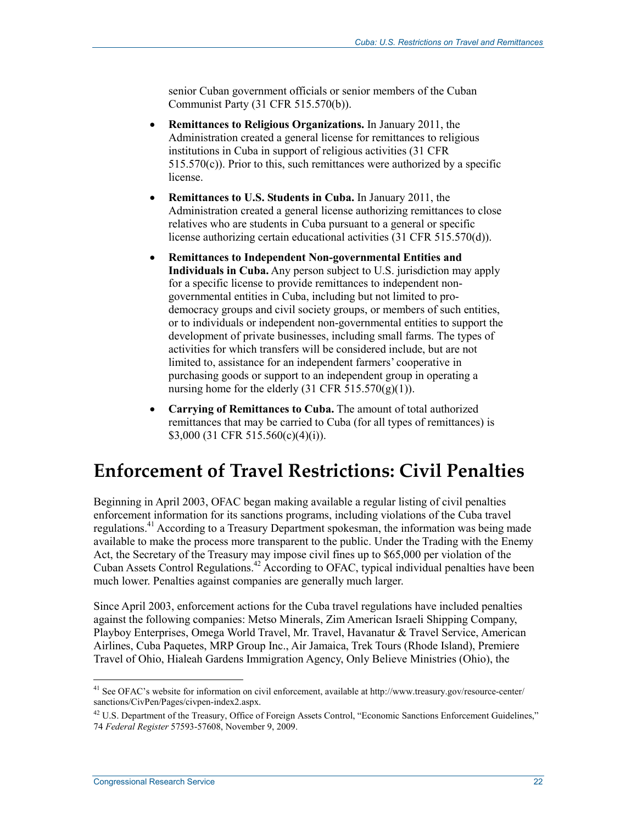senior Cuban government officials or senior members of the Cuban Communist Party (31 CFR 515.570(b)).

- **Remittances to Religious Organizations.** In January 2011, the Administration created a general license for remittances to religious institutions in Cuba in support of religious activities (31 CFR  $515.570(c)$ ). Prior to this, such remittances were authorized by a specific license.
- **Remittances to U.S. Students in Cuba.** In January 2011, the Administration created a general license authorizing remittances to close relatives who are students in Cuba pursuant to a general or specific license authorizing certain educational activities (31 CFR 515.570(d)).
- **Remittances to Independent Non-governmental Entities and Individuals in Cuba.** Any person subject to U.S. jurisdiction may apply for a specific license to provide remittances to independent nongovernmental entities in Cuba, including but not limited to prodemocracy groups and civil society groups, or members of such entities, or to individuals or independent non-governmental entities to support the development of private businesses, including small farms. The types of activities for which transfers will be considered include, but are not limited to, assistance for an independent farmers' cooperative in purchasing goods or support to an independent group in operating a nursing home for the elderly  $(31 \text{ CFR } 515.570(g)(1))$ .
- **Carrying of Remittances to Cuba.** The amount of total authorized remittances that may be carried to Cuba (for all types of remittances) is \$3,000 (31 CFR 515.560(c)(4)(i)).

# **Enforcement of Travel Restrictions: Civil Penalties**

Beginning in April 2003, OFAC began making available a regular listing of civil penalties enforcement information for its sanctions programs, including violations of the Cuba travel regulations.<sup>41</sup> According to a Treasury Department spokesman, the information was being made available to make the process more transparent to the public. Under the Trading with the Enemy Act, the Secretary of the Treasury may impose civil fines up to \$65,000 per violation of the Cuban Assets Control Regulations.<sup>42</sup> According to OFAC, typical individual penalties have been much lower. Penalties against companies are generally much larger.

Since April 2003, enforcement actions for the Cuba travel regulations have included penalties against the following companies: Metso Minerals, Zim American Israeli Shipping Company, Playboy Enterprises, Omega World Travel, Mr. Travel, Havanatur & Travel Service, American Airlines, Cuba Paquetes, MRP Group Inc., Air Jamaica, Trek Tours (Rhode Island), Premiere Travel of Ohio, Hialeah Gardens Immigration Agency, Only Believe Ministries (Ohio), the

<sup>&</sup>lt;sup>41</sup> See OFAC's website for information on civil enforcement, available at http://www.treasury.gov/resource-center/ sanctions/CivPen/Pages/civpen-index2.aspx.

<sup>&</sup>lt;sup>42</sup> U.S. Department of the Treasury, Office of Foreign Assets Control, "Economic Sanctions Enforcement Guidelines," 74 *Federal Register* 57593-57608, November 9, 2009.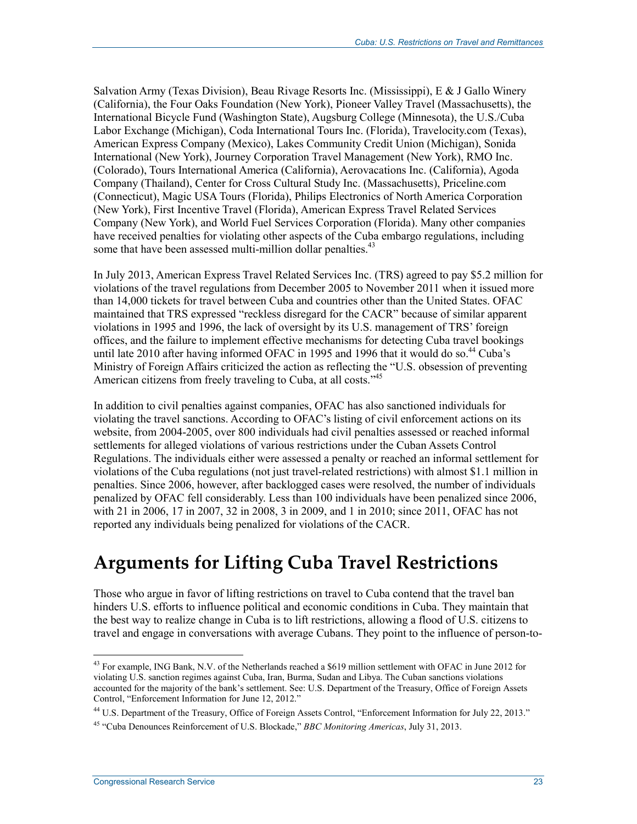Salvation Army (Texas Division), Beau Rivage Resorts Inc. (Mississippi), E & J Gallo Winery (California), the Four Oaks Foundation (New York), Pioneer Valley Travel (Massachusetts), the International Bicycle Fund (Washington State), Augsburg College (Minnesota), the U.S./Cuba Labor Exchange (Michigan), Coda International Tours Inc. (Florida), Travelocity.com (Texas), American Express Company (Mexico), Lakes Community Credit Union (Michigan), Sonida International (New York), Journey Corporation Travel Management (New York), RMO Inc. (Colorado), Tours International America (California), Aerovacations Inc. (California), Agoda Company (Thailand), Center for Cross Cultural Study Inc. (Massachusetts), Priceline.com (Connecticut), Magic USA Tours (Florida), Philips Electronics of North America Corporation (New York), First Incentive Travel (Florida), American Express Travel Related Services Company (New York), and World Fuel Services Corporation (Florida). Many other companies have received penalties for violating other aspects of the Cuba embargo regulations, including some that have been assessed multi-million dollar penalties.<sup>43</sup>

In July 2013, American Express Travel Related Services Inc. (TRS) agreed to pay \$5.2 million for violations of the travel regulations from December 2005 to November 2011 when it issued more than 14,000 tickets for travel between Cuba and countries other than the United States. OFAC maintained that TRS expressed "reckless disregard for the CACR" because of similar apparent violations in 1995 and 1996, the lack of oversight by its U.S. management of TRS' foreign offices, and the failure to implement effective mechanisms for detecting Cuba travel bookings until late 2010 after having informed OFAC in 1995 and 1996 that it would do so.<sup>44</sup> Cuba's Ministry of Foreign Affairs criticized the action as reflecting the "U.S. obsession of preventing American citizens from freely traveling to Cuba, at all costs.<sup>745</sup>

In addition to civil penalties against companies, OFAC has also sanctioned individuals for violating the travel sanctions. According to OFAC's listing of civil enforcement actions on its website, from 2004-2005, over 800 individuals had civil penalties assessed or reached informal settlements for alleged violations of various restrictions under the Cuban Assets Control Regulations. The individuals either were assessed a penalty or reached an informal settlement for violations of the Cuba regulations (not just travel-related restrictions) with almost \$1.1 million in penalties. Since 2006, however, after backlogged cases were resolved, the number of individuals penalized by OFAC fell considerably. Less than 100 individuals have been penalized since 2006, with 21 in 2006, 17 in 2007, 32 in 2008, 3 in 2009, and 1 in 2010; since 2011, OFAC has not reported any individuals being penalized for violations of the CACR.

# **Arguments for Lifting Cuba Travel Restrictions**

Those who argue in favor of lifting restrictions on travel to Cuba contend that the travel ban hinders U.S. efforts to influence political and economic conditions in Cuba. They maintain that the best way to realize change in Cuba is to lift restrictions, allowing a flood of U.S. citizens to travel and engage in conversations with average Cubans. They point to the influence of person-to-

 $43$  For example, ING Bank, N.V. of the Netherlands reached a \$619 million settlement with OFAC in June 2012 for violating U.S. sanction regimes against Cuba, Iran, Burma, Sudan and Libya. The Cuban sanctions violations accounted for the majority of the bank's settlement. See: U.S. Department of the Treasury, Office of Foreign Assets Control, "Enforcement Information for June 12, 2012."

<sup>44</sup> U.S. Department of the Treasury, Office of Foreign Assets Control, "Enforcement Information for July 22, 2013."

<sup>45 &</sup>quot;Cuba Denounces Reinforcement of U.S. Blockade," *BBC Monitoring Americas*, July 31, 2013.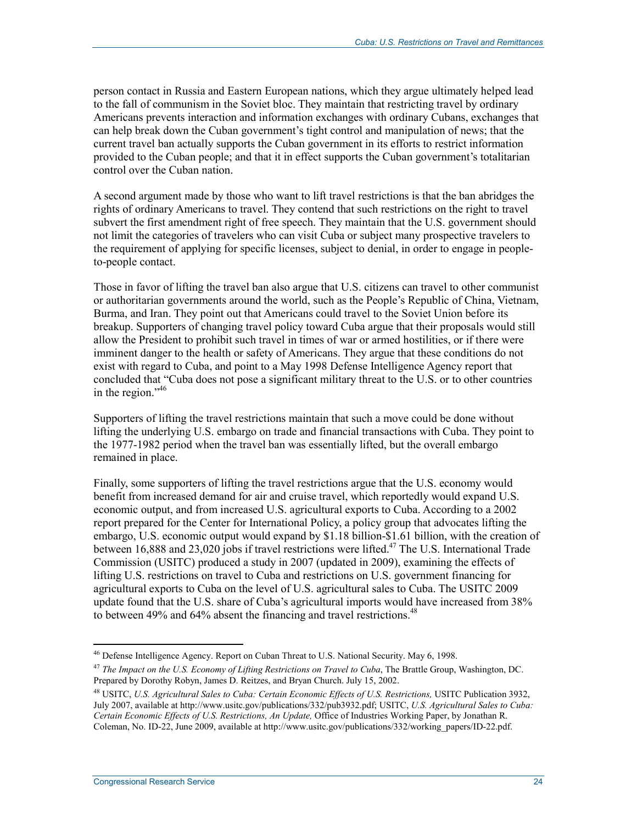person contact in Russia and Eastern European nations, which they argue ultimately helped lead to the fall of communism in the Soviet bloc. They maintain that restricting travel by ordinary Americans prevents interaction and information exchanges with ordinary Cubans, exchanges that can help break down the Cuban government's tight control and manipulation of news; that the current travel ban actually supports the Cuban government in its efforts to restrict information provided to the Cuban people; and that it in effect supports the Cuban government's totalitarian control over the Cuban nation.

A second argument made by those who want to lift travel restrictions is that the ban abridges the rights of ordinary Americans to travel. They contend that such restrictions on the right to travel subvert the first amendment right of free speech. They maintain that the U.S. government should not limit the categories of travelers who can visit Cuba or subject many prospective travelers to the requirement of applying for specific licenses, subject to denial, in order to engage in peopleto-people contact.

Those in favor of lifting the travel ban also argue that U.S. citizens can travel to other communist or authoritarian governments around the world, such as the People's Republic of China, Vietnam, Burma, and Iran. They point out that Americans could travel to the Soviet Union before its breakup. Supporters of changing travel policy toward Cuba argue that their proposals would still allow the President to prohibit such travel in times of war or armed hostilities, or if there were imminent danger to the health or safety of Americans. They argue that these conditions do not exist with regard to Cuba, and point to a May 1998 Defense Intelligence Agency report that concluded that "Cuba does not pose a significant military threat to the U.S. or to other countries in the region."<sup>46</sup>

Supporters of lifting the travel restrictions maintain that such a move could be done without lifting the underlying U.S. embargo on trade and financial transactions with Cuba. They point to the 1977-1982 period when the travel ban was essentially lifted, but the overall embargo remained in place.

Finally, some supporters of lifting the travel restrictions argue that the U.S. economy would benefit from increased demand for air and cruise travel, which reportedly would expand U.S. economic output, and from increased U.S. agricultural exports to Cuba. According to a 2002 report prepared for the Center for International Policy, a policy group that advocates lifting the embargo, U.S. economic output would expand by \$1.18 billion-\$1.61 billion, with the creation of between 16,888 and 23,020 jobs if travel restrictions were lifted.<sup>47</sup> The U.S. International Trade Commission (USITC) produced a study in 2007 (updated in 2009), examining the effects of lifting U.S. restrictions on travel to Cuba and restrictions on U.S. government financing for agricultural exports to Cuba on the level of U.S. agricultural sales to Cuba. The USITC 2009 update found that the U.S. share of Cuba's agricultural imports would have increased from 38% to between 49% and 64% absent the financing and travel restrictions.<sup>48</sup>

<sup>&</sup>lt;sup>46</sup> Defense Intelligence Agency. Report on Cuban Threat to U.S. National Security. May 6, 1998.

<sup>&</sup>lt;sup>47</sup> The Impact on the U.S. Economy of Lifting Restrictions on Travel to Cuba, The Brattle Group, Washington, DC. Prepared by Dorothy Robyn, James D. Reitzes, and Bryan Church. July 15, 2002.

<sup>48</sup> USITC, *U.S. Agricultural Sales to Cuba: Certain Economic Effects of U.S. Restrictions,* USITC Publication 3932, July 2007, available at http://www.usitc.gov/publications/332/pub3932.pdf; USITC, *U.S. Agricultural Sales to Cuba: Certain Economic Effects of U.S. Restrictions, An Update,* Office of Industries Working Paper, by Jonathan R. Coleman, No. ID-22, June 2009, available at http://www.usitc.gov/publications/332/working\_papers/ID-22.pdf.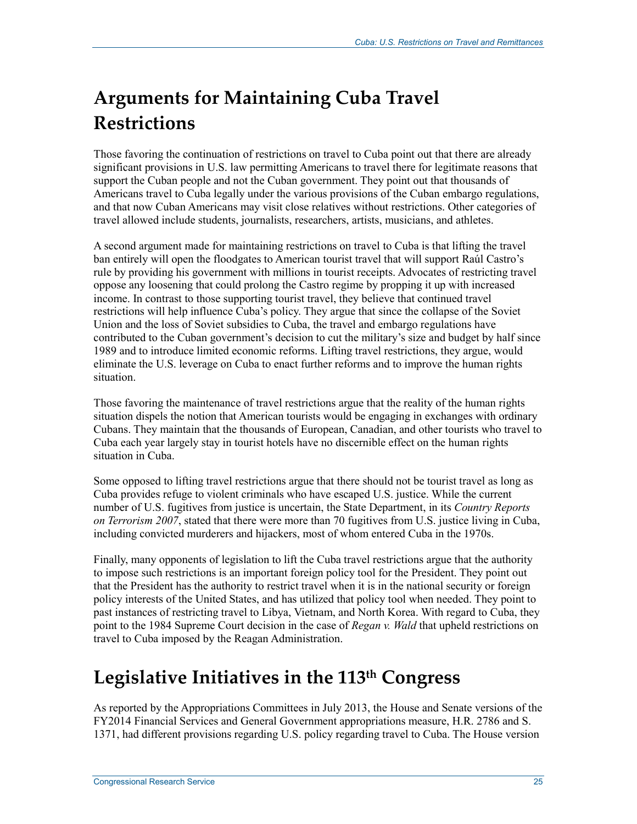# **Arguments for Maintaining Cuba Travel Restrictions**

Those favoring the continuation of restrictions on travel to Cuba point out that there are already significant provisions in U.S. law permitting Americans to travel there for legitimate reasons that support the Cuban people and not the Cuban government. They point out that thousands of Americans travel to Cuba legally under the various provisions of the Cuban embargo regulations, and that now Cuban Americans may visit close relatives without restrictions. Other categories of travel allowed include students, journalists, researchers, artists, musicians, and athletes.

A second argument made for maintaining restrictions on travel to Cuba is that lifting the travel ban entirely will open the floodgates to American tourist travel that will support Raúl Castro's rule by providing his government with millions in tourist receipts. Advocates of restricting travel oppose any loosening that could prolong the Castro regime by propping it up with increased income. In contrast to those supporting tourist travel, they believe that continued travel restrictions will help influence Cuba's policy. They argue that since the collapse of the Soviet Union and the loss of Soviet subsidies to Cuba, the travel and embargo regulations have contributed to the Cuban government's decision to cut the military's size and budget by half since 1989 and to introduce limited economic reforms. Lifting travel restrictions, they argue, would eliminate the U.S. leverage on Cuba to enact further reforms and to improve the human rights situation.

Those favoring the maintenance of travel restrictions argue that the reality of the human rights situation dispels the notion that American tourists would be engaging in exchanges with ordinary Cubans. They maintain that the thousands of European, Canadian, and other tourists who travel to Cuba each year largely stay in tourist hotels have no discernible effect on the human rights situation in Cuba.

Some opposed to lifting travel restrictions argue that there should not be tourist travel as long as Cuba provides refuge to violent criminals who have escaped U.S. justice. While the current number of U.S. fugitives from justice is uncertain, the State Department, in its *Country Reports on Terrorism 2007*, stated that there were more than 70 fugitives from U.S. justice living in Cuba, including convicted murderers and hijackers, most of whom entered Cuba in the 1970s.

Finally, many opponents of legislation to lift the Cuba travel restrictions argue that the authority to impose such restrictions is an important foreign policy tool for the President. They point out that the President has the authority to restrict travel when it is in the national security or foreign policy interests of the United States, and has utilized that policy tool when needed. They point to past instances of restricting travel to Libya, Vietnam, and North Korea. With regard to Cuba, they point to the 1984 Supreme Court decision in the case of *Regan v. Wald* that upheld restrictions on travel to Cuba imposed by the Reagan Administration.

# **Legislative Initiatives in the 113th Congress**

As reported by the Appropriations Committees in July 2013, the House and Senate versions of the FY2014 Financial Services and General Government appropriations measure, H.R. 2786 and S. 1371, had different provisions regarding U.S. policy regarding travel to Cuba. The House version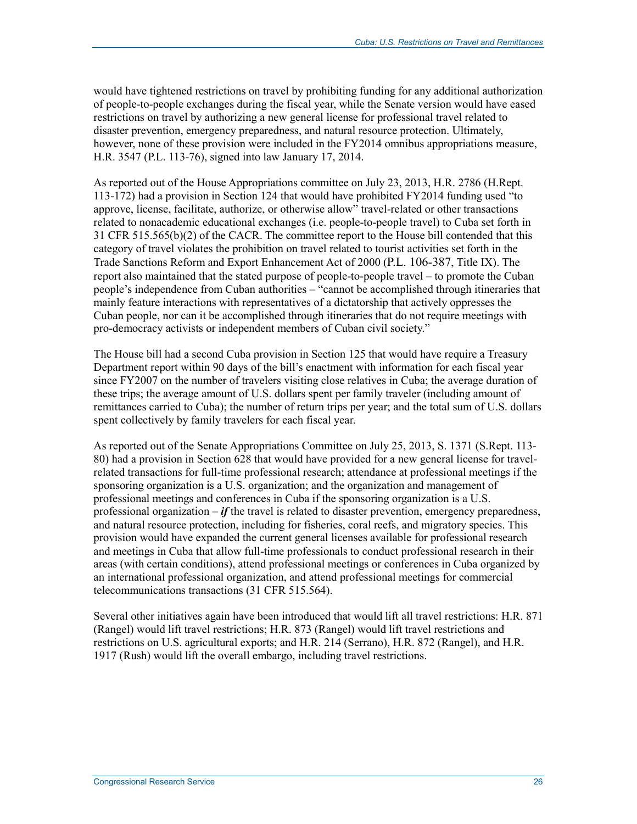would have tightened restrictions on travel by prohibiting funding for any additional authorization of people-to-people exchanges during the fiscal year, while the Senate version would have eased restrictions on travel by authorizing a new general license for professional travel related to disaster prevention, emergency preparedness, and natural resource protection. Ultimately, however, none of these provision were included in the FY2014 omnibus appropriations measure, H.R. 3547 (P.L. 113-76), signed into law January 17, 2014.

As reported out of the House Appropriations committee on July 23, 2013, H.R. 2786 (H.Rept. 113-172) had a provision in Section 124 that would have prohibited FY2014 funding used "to approve, license, facilitate, authorize, or otherwise allow" travel-related or other transactions related to nonacademic educational exchanges (i.e. people-to-people travel) to Cuba set forth in 31 CFR 515.565(b)(2) of the CACR. The committee report to the House bill contended that this category of travel violates the prohibition on travel related to tourist activities set forth in the Trade Sanctions Reform and Export Enhancement Act of 2000 (P.L. 106-387, Title IX). The report also maintained that the stated purpose of people-to-people travel – to promote the Cuban people's independence from Cuban authorities – "cannot be accomplished through itineraries that mainly feature interactions with representatives of a dictatorship that actively oppresses the Cuban people, nor can it be accomplished through itineraries that do not require meetings with pro-democracy activists or independent members of Cuban civil society."

The House bill had a second Cuba provision in Section 125 that would have require a Treasury Department report within 90 days of the bill's enactment with information for each fiscal year since FY2007 on the number of travelers visiting close relatives in Cuba; the average duration of these trips; the average amount of U.S. dollars spent per family traveler (including amount of remittances carried to Cuba); the number of return trips per year; and the total sum of U.S. dollars spent collectively by family travelers for each fiscal year.

As reported out of the Senate Appropriations Committee on July 25, 2013, S. 1371 (S.Rept. 113- 80) had a provision in Section 628 that would have provided for a new general license for travelrelated transactions for full-time professional research; attendance at professional meetings if the sponsoring organization is a U.S. organization; and the organization and management of professional meetings and conferences in Cuba if the sponsoring organization is a U.S. professional organization  $-i\mathbf{f}$  the travel is related to disaster prevention, emergency preparedness, and natural resource protection, including for fisheries, coral reefs, and migratory species. This provision would have expanded the current general licenses available for professional research and meetings in Cuba that allow full-time professionals to conduct professional research in their areas (with certain conditions), attend professional meetings or conferences in Cuba organized by an international professional organization, and attend professional meetings for commercial telecommunications transactions (31 CFR 515.564).

Several other initiatives again have been introduced that would lift all travel restrictions: H.R. 871 (Rangel) would lift travel restrictions; H.R. 873 (Rangel) would lift travel restrictions and restrictions on U.S. agricultural exports; and H.R. 214 (Serrano), H.R. 872 (Rangel), and H.R. 1917 (Rush) would lift the overall embargo, including travel restrictions.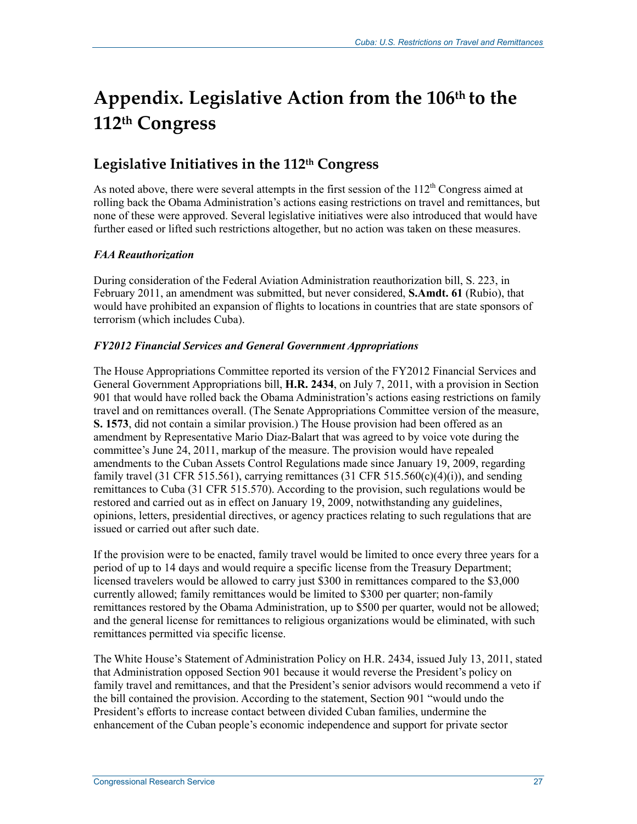# **Appendix. Legislative Action from the 106th to the 112th Congress**

# **Legislative Initiatives in the 112th Congress**

As noted above, there were several attempts in the first session of the  $112<sup>th</sup>$  Congress aimed at rolling back the Obama Administration's actions easing restrictions on travel and remittances, but none of these were approved. Several legislative initiatives were also introduced that would have further eased or lifted such restrictions altogether, but no action was taken on these measures.

### *FAA Reauthorization*

During consideration of the Federal Aviation Administration reauthorization bill, S. 223, in February 2011, an amendment was submitted, but never considered, **S.Amdt. 61** (Rubio), that would have prohibited an expansion of flights to locations in countries that are state sponsors of terrorism (which includes Cuba).

### *FY2012 Financial Services and General Government Appropriations*

The House Appropriations Committee reported its version of the FY2012 Financial Services and General Government Appropriations bill, **H.R. 2434**, on July 7, 2011, with a provision in Section 901 that would have rolled back the Obama Administration's actions easing restrictions on family travel and on remittances overall. (The Senate Appropriations Committee version of the measure, **S. 1573**, did not contain a similar provision.) The House provision had been offered as an amendment by Representative Mario Diaz-Balart that was agreed to by voice vote during the committee's June 24, 2011, markup of the measure. The provision would have repealed amendments to the Cuban Assets Control Regulations made since January 19, 2009, regarding family travel (31 CFR 515.561), carrying remittances (31 CFR 515.560(c)(4)(i)), and sending remittances to Cuba (31 CFR 515.570). According to the provision, such regulations would be restored and carried out as in effect on January 19, 2009, notwithstanding any guidelines, opinions, letters, presidential directives, or agency practices relating to such regulations that are issued or carried out after such date.

If the provision were to be enacted, family travel would be limited to once every three years for a period of up to 14 days and would require a specific license from the Treasury Department; licensed travelers would be allowed to carry just \$300 in remittances compared to the \$3,000 currently allowed; family remittances would be limited to \$300 per quarter; non-family remittances restored by the Obama Administration, up to \$500 per quarter, would not be allowed; and the general license for remittances to religious organizations would be eliminated, with such remittances permitted via specific license.

The White House's Statement of Administration Policy on H.R. 2434, issued July 13, 2011, stated that Administration opposed Section 901 because it would reverse the President's policy on family travel and remittances, and that the President's senior advisors would recommend a veto if the bill contained the provision. According to the statement, Section 901 "would undo the President's efforts to increase contact between divided Cuban families, undermine the enhancement of the Cuban people's economic independence and support for private sector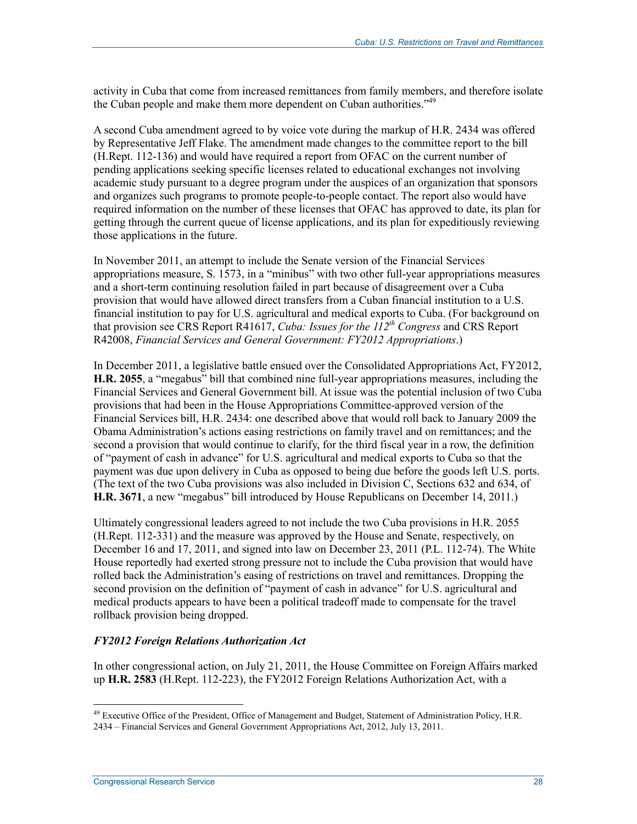activity in Cuba that come from increased remittances from family members, and therefore isolate the Cuban people and make them more dependent on Cuban authorities."<sup>49</sup>

A second Cuba amendment agreed to by voice vote during the markup of H.R. 2434 was offered by Representative Jeff Flake. The amendment made changes to the committee report to the bill (H.Rept. 112-136) and would have required a report from OFAC on the current number of pending applications seeking specific licenses related to educational exchanges not involving academic study pursuant to a degree program under the auspices of an organization that sponsors and organizes such programs to promote people-to-people contact. The report also would have required information on the number of these licenses that OFAC has approved to date, its plan for getting through the current queue of license applications, and its plan for expeditiously reviewing those applications in the future.

In November 2011, an attempt to include the Senate version of the Financial Services appropriations measure, S. 1573, in a "minibus" with two other full-year appropriations measures and a short-term continuing resolution failed in part because of disagreement over a Cuba provision that would have allowed direct transfers from a Cuban financial institution to a U.S. financial institution to pay for U.S. agricultural and medical exports to Cuba. (For background on that provision see CRS Report R41617, *Cuba: Issues for the 112th Congress* and CRS Report R42008, *Financial Services and General Government: FY2012 Appropriations*.)

In December 2011, a legislative battle ensued over the Consolidated Appropriations Act, FY2012, **H.R. 2055**, a "megabus" bill that combined nine full-year appropriations measures, including the Financial Services and General Government bill. At issue was the potential inclusion of two Cuba provisions that had been in the House Appropriations Committee-approved version of the Financial Services bill, H.R. 2434: one described above that would roll back to January 2009 the Obama Administration's actions easing restrictions on family travel and on remittances; and the second a provision that would continue to clarify, for the third fiscal year in a row, the definition of "payment of cash in advance" for U.S. agricultural and medical exports to Cuba so that the payment was due upon delivery in Cuba as opposed to being due before the goods left U.S. ports. (The text of the two Cuba provisions was also included in Division C, Sections 632 and 634, of **H.R. 3671**, a new "megabus" bill introduced by House Republicans on December 14, 2011.)

Ultimately congressional leaders agreed to not include the two Cuba provisions in H.R. 2055 (H.Rept. 112-331) and the measure was approved by the House and Senate, respectively, on December 16 and 17, 2011, and signed into law on December 23, 2011 (P.L. 112-74). The White House reportedly had exerted strong pressure not to include the Cuba provision that would have rolled back the Administration's easing of restrictions on travel and remittances. Dropping the second provision on the definition of "payment of cash in advance" for U.S. agricultural and medical products appears to have been a political tradeoff made to compensate for the travel rollback provision being dropped.

#### *FY2012 Foreign Relations Authorization Act*

In other congressional action, on July 21, 2011, the House Committee on Foreign Affairs marked up **H.R. 2583** (H.Rept. 112-223), the FY2012 Foreign Relations Authorization Act, with a

<sup>1</sup>  $^{49}$  Executive Office of the President, Office of Management and Budget, Statement of Administration Policy, H.R.

<sup>2434 –</sup> Financial Services and General Government Appropriations Act, 2012, July 13, 2011.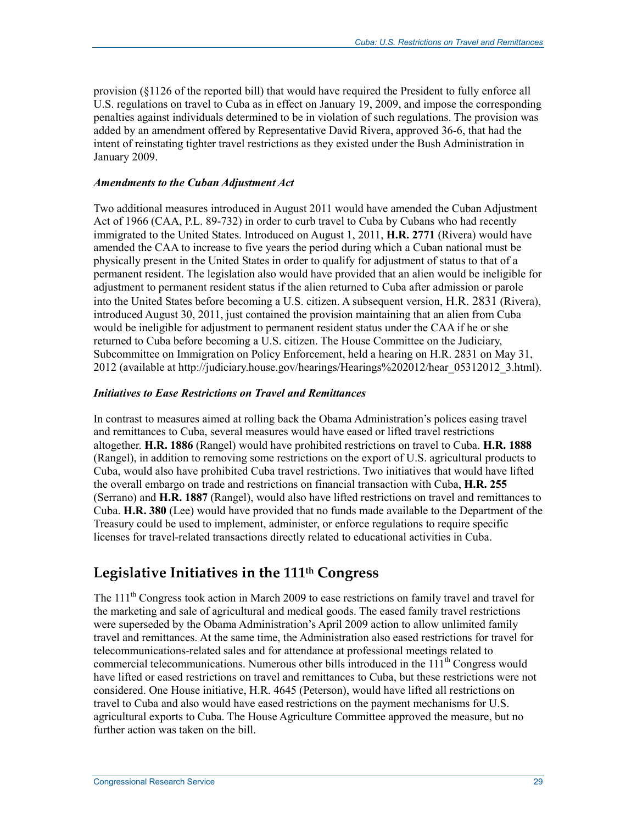provision (§1126 of the reported bill) that would have required the President to fully enforce all U.S. regulations on travel to Cuba as in effect on January 19, 2009, and impose the corresponding penalties against individuals determined to be in violation of such regulations. The provision was added by an amendment offered by Representative David Rivera, approved 36-6, that had the intent of reinstating tighter travel restrictions as they existed under the Bush Administration in January 2009.

#### *Amendments to the Cuban Adjustment Act*

Two additional measures introduced in August 2011 would have amended the Cuban Adjustment Act of 1966 (CAA, P.L. 89-732) in order to curb travel to Cuba by Cubans who had recently immigrated to the United States. Introduced on August 1, 2011, **H.R. 2771** (Rivera) would have amended the CAA to increase to five years the period during which a Cuban national must be physically present in the United States in order to qualify for adjustment of status to that of a permanent resident. The legislation also would have provided that an alien would be ineligible for adjustment to permanent resident status if the alien returned to Cuba after admission or parole into the United States before becoming a U.S. citizen. A subsequent version, H.R. 2831 (Rivera), introduced August 30, 2011, just contained the provision maintaining that an alien from Cuba would be ineligible for adjustment to permanent resident status under the CAA if he or she returned to Cuba before becoming a U.S. citizen. The House Committee on the Judiciary, Subcommittee on Immigration on Policy Enforcement, held a hearing on H.R. 2831 on May 31, 2012 (available at http://judiciary.house.gov/hearings/Hearings%202012/hear\_05312012\_3.html).

#### *Initiatives to Ease Restrictions on Travel and Remittances*

In contrast to measures aimed at rolling back the Obama Administration's polices easing travel and remittances to Cuba, several measures would have eased or lifted travel restrictions altogether. **H.R. 1886** (Rangel) would have prohibited restrictions on travel to Cuba. **H.R. 1888** (Rangel), in addition to removing some restrictions on the export of U.S. agricultural products to Cuba, would also have prohibited Cuba travel restrictions. Two initiatives that would have lifted the overall embargo on trade and restrictions on financial transaction with Cuba, **H.R. 255** (Serrano) and **H.R. 1887** (Rangel), would also have lifted restrictions on travel and remittances to Cuba. **H.R. 380** (Lee) would have provided that no funds made available to the Department of the Treasury could be used to implement, administer, or enforce regulations to require specific licenses for travel-related transactions directly related to educational activities in Cuba.

## **Legislative Initiatives in the 111th Congress**

The  $111<sup>th</sup>$  Congress took action in March 2009 to ease restrictions on family travel and travel for the marketing and sale of agricultural and medical goods. The eased family travel restrictions were superseded by the Obama Administration's April 2009 action to allow unlimited family travel and remittances. At the same time, the Administration also eased restrictions for travel for telecommunications-related sales and for attendance at professional meetings related to commercial telecommunications. Numerous other bills introduced in the  $111<sup>th</sup>$  Congress would have lifted or eased restrictions on travel and remittances to Cuba, but these restrictions were not considered. One House initiative, H.R. 4645 (Peterson), would have lifted all restrictions on travel to Cuba and also would have eased restrictions on the payment mechanisms for U.S. agricultural exports to Cuba. The House Agriculture Committee approved the measure, but no further action was taken on the bill.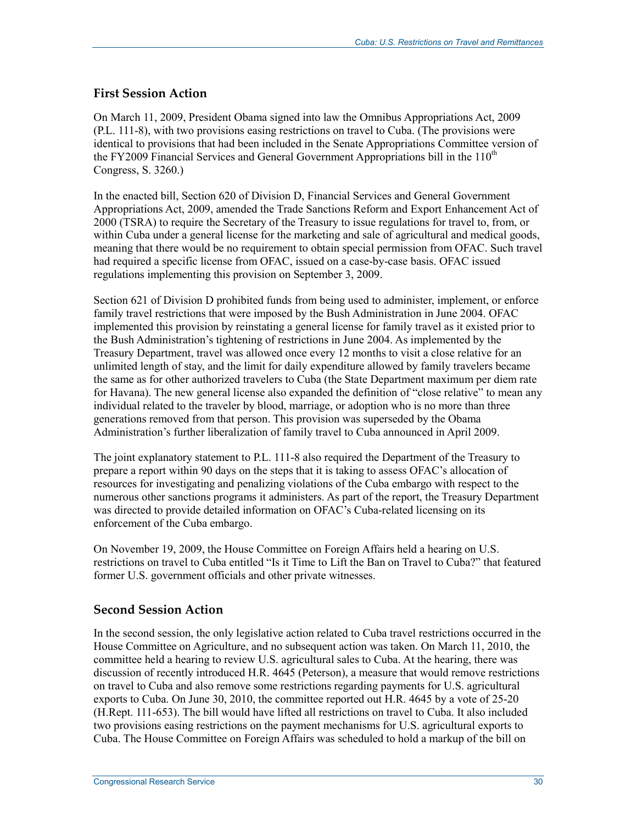### **First Session Action**

On March 11, 2009, President Obama signed into law the Omnibus Appropriations Act, 2009 (P.L. 111-8), with two provisions easing restrictions on travel to Cuba. (The provisions were identical to provisions that had been included in the Senate Appropriations Committee version of the FY2009 Financial Services and General Government Appropriations bill in the  $110<sup>th</sup>$ Congress, S. 3260.)

In the enacted bill, Section 620 of Division D, Financial Services and General Government Appropriations Act, 2009, amended the Trade Sanctions Reform and Export Enhancement Act of 2000 (TSRA) to require the Secretary of the Treasury to issue regulations for travel to, from, or within Cuba under a general license for the marketing and sale of agricultural and medical goods, meaning that there would be no requirement to obtain special permission from OFAC. Such travel had required a specific license from OFAC, issued on a case-by-case basis. OFAC issued regulations implementing this provision on September 3, 2009.

Section 621 of Division D prohibited funds from being used to administer, implement, or enforce family travel restrictions that were imposed by the Bush Administration in June 2004. OFAC implemented this provision by reinstating a general license for family travel as it existed prior to the Bush Administration's tightening of restrictions in June 2004. As implemented by the Treasury Department, travel was allowed once every 12 months to visit a close relative for an unlimited length of stay, and the limit for daily expenditure allowed by family travelers became the same as for other authorized travelers to Cuba (the State Department maximum per diem rate for Havana). The new general license also expanded the definition of "close relative" to mean any individual related to the traveler by blood, marriage, or adoption who is no more than three generations removed from that person. This provision was superseded by the Obama Administration's further liberalization of family travel to Cuba announced in April 2009.

The joint explanatory statement to P.L. 111-8 also required the Department of the Treasury to prepare a report within 90 days on the steps that it is taking to assess OFAC's allocation of resources for investigating and penalizing violations of the Cuba embargo with respect to the numerous other sanctions programs it administers. As part of the report, the Treasury Department was directed to provide detailed information on OFAC's Cuba-related licensing on its enforcement of the Cuba embargo.

On November 19, 2009, the House Committee on Foreign Affairs held a hearing on U.S. restrictions on travel to Cuba entitled "Is it Time to Lift the Ban on Travel to Cuba?" that featured former U.S. government officials and other private witnesses.

### **Second Session Action**

In the second session, the only legislative action related to Cuba travel restrictions occurred in the House Committee on Agriculture, and no subsequent action was taken. On March 11, 2010, the committee held a hearing to review U.S. agricultural sales to Cuba. At the hearing, there was discussion of recently introduced H.R. 4645 (Peterson), a measure that would remove restrictions on travel to Cuba and also remove some restrictions regarding payments for U.S. agricultural exports to Cuba. On June 30, 2010, the committee reported out H.R. 4645 by a vote of 25-20 (H.Rept. 111-653). The bill would have lifted all restrictions on travel to Cuba. It also included two provisions easing restrictions on the payment mechanisms for U.S. agricultural exports to Cuba. The House Committee on Foreign Affairs was scheduled to hold a markup of the bill on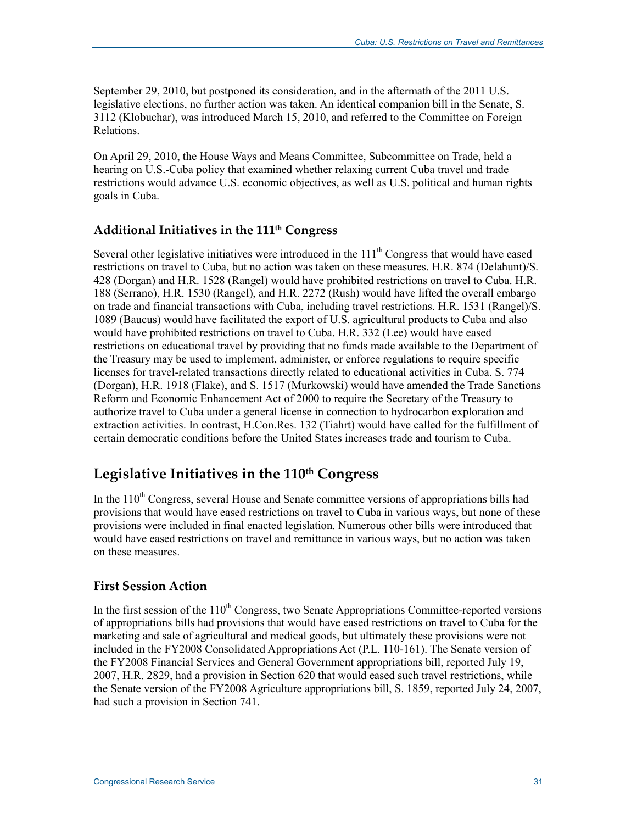September 29, 2010, but postponed its consideration, and in the aftermath of the 2011 U.S. legislative elections, no further action was taken. An identical companion bill in the Senate, S. 3112 (Klobuchar), was introduced March 15, 2010, and referred to the Committee on Foreign Relations.

On April 29, 2010, the House Ways and Means Committee, Subcommittee on Trade, held a hearing on U.S.-Cuba policy that examined whether relaxing current Cuba travel and trade restrictions would advance U.S. economic objectives, as well as U.S. political and human rights goals in Cuba.

## **Additional Initiatives in the 111th Congress**

Several other legislative initiatives were introduced in the  $111<sup>th</sup>$  Congress that would have eased restrictions on travel to Cuba, but no action was taken on these measures. H.R. 874 (Delahunt)/S. 428 (Dorgan) and H.R. 1528 (Rangel) would have prohibited restrictions on travel to Cuba. H.R. 188 (Serrano), H.R. 1530 (Rangel), and H.R. 2272 (Rush) would have lifted the overall embargo on trade and financial transactions with Cuba, including travel restrictions. H.R. 1531 (Rangel)/S. 1089 (Baucus) would have facilitated the export of U.S. agricultural products to Cuba and also would have prohibited restrictions on travel to Cuba. H.R. 332 (Lee) would have eased restrictions on educational travel by providing that no funds made available to the Department of the Treasury may be used to implement, administer, or enforce regulations to require specific licenses for travel-related transactions directly related to educational activities in Cuba. S. 774 (Dorgan), H.R. 1918 (Flake), and S. 1517 (Murkowski) would have amended the Trade Sanctions Reform and Economic Enhancement Act of 2000 to require the Secretary of the Treasury to authorize travel to Cuba under a general license in connection to hydrocarbon exploration and extraction activities. In contrast, H.Con.Res. 132 (Tiahrt) would have called for the fulfillment of certain democratic conditions before the United States increases trade and tourism to Cuba.

# Legislative Initiatives in the 110<sup>th</sup> Congress

In the  $110<sup>th</sup>$  Congress, several House and Senate committee versions of appropriations bills had provisions that would have eased restrictions on travel to Cuba in various ways, but none of these provisions were included in final enacted legislation. Numerous other bills were introduced that would have eased restrictions on travel and remittance in various ways, but no action was taken on these measures.

### **First Session Action**

In the first session of the  $110<sup>th</sup>$  Congress, two Senate Appropriations Committee-reported versions of appropriations bills had provisions that would have eased restrictions on travel to Cuba for the marketing and sale of agricultural and medical goods, but ultimately these provisions were not included in the FY2008 Consolidated Appropriations Act (P.L. 110-161). The Senate version of the FY2008 Financial Services and General Government appropriations bill, reported July 19, 2007, H.R. 2829, had a provision in Section 620 that would eased such travel restrictions, while the Senate version of the FY2008 Agriculture appropriations bill, S. 1859, reported July 24, 2007, had such a provision in Section 741.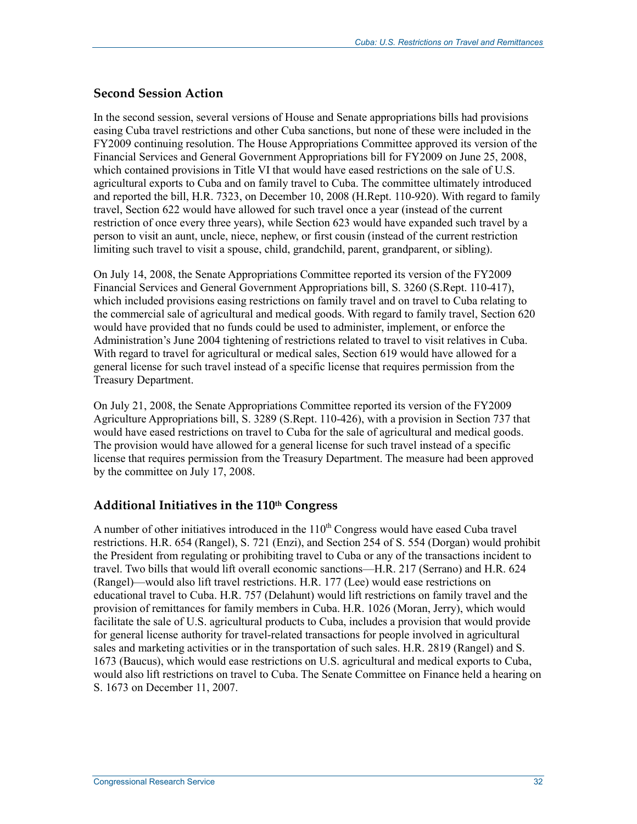## **Second Session Action**

In the second session, several versions of House and Senate appropriations bills had provisions easing Cuba travel restrictions and other Cuba sanctions, but none of these were included in the FY2009 continuing resolution. The House Appropriations Committee approved its version of the Financial Services and General Government Appropriations bill for FY2009 on June 25, 2008, which contained provisions in Title VI that would have eased restrictions on the sale of U.S. agricultural exports to Cuba and on family travel to Cuba. The committee ultimately introduced and reported the bill, H.R. 7323, on December 10, 2008 (H.Rept. 110-920). With regard to family travel, Section 622 would have allowed for such travel once a year (instead of the current restriction of once every three years), while Section 623 would have expanded such travel by a person to visit an aunt, uncle, niece, nephew, or first cousin (instead of the current restriction limiting such travel to visit a spouse, child, grandchild, parent, grandparent, or sibling).

On July 14, 2008, the Senate Appropriations Committee reported its version of the FY2009 Financial Services and General Government Appropriations bill, S. 3260 (S.Rept. 110-417), which included provisions easing restrictions on family travel and on travel to Cuba relating to the commercial sale of agricultural and medical goods. With regard to family travel, Section 620 would have provided that no funds could be used to administer, implement, or enforce the Administration's June 2004 tightening of restrictions related to travel to visit relatives in Cuba. With regard to travel for agricultural or medical sales, Section 619 would have allowed for a general license for such travel instead of a specific license that requires permission from the Treasury Department.

On July 21, 2008, the Senate Appropriations Committee reported its version of the FY2009 Agriculture Appropriations bill, S. 3289 (S.Rept. 110-426), with a provision in Section 737 that would have eased restrictions on travel to Cuba for the sale of agricultural and medical goods. The provision would have allowed for a general license for such travel instead of a specific license that requires permission from the Treasury Department. The measure had been approved by the committee on July 17, 2008.

## **Additional Initiatives in the 110th Congress**

A number of other initiatives introduced in the  $110<sup>th</sup>$  Congress would have eased Cuba travel restrictions. H.R. 654 (Rangel), S. 721 (Enzi), and Section 254 of S. 554 (Dorgan) would prohibit the President from regulating or prohibiting travel to Cuba or any of the transactions incident to travel. Two bills that would lift overall economic sanctions—H.R. 217 (Serrano) and H.R. 624 (Rangel)—would also lift travel restrictions. H.R. 177 (Lee) would ease restrictions on educational travel to Cuba. H.R. 757 (Delahunt) would lift restrictions on family travel and the provision of remittances for family members in Cuba. H.R. 1026 (Moran, Jerry), which would facilitate the sale of U.S. agricultural products to Cuba, includes a provision that would provide for general license authority for travel-related transactions for people involved in agricultural sales and marketing activities or in the transportation of such sales. H.R. 2819 (Rangel) and S. 1673 (Baucus), which would ease restrictions on U.S. agricultural and medical exports to Cuba, would also lift restrictions on travel to Cuba. The Senate Committee on Finance held a hearing on S. 1673 on December 11, 2007.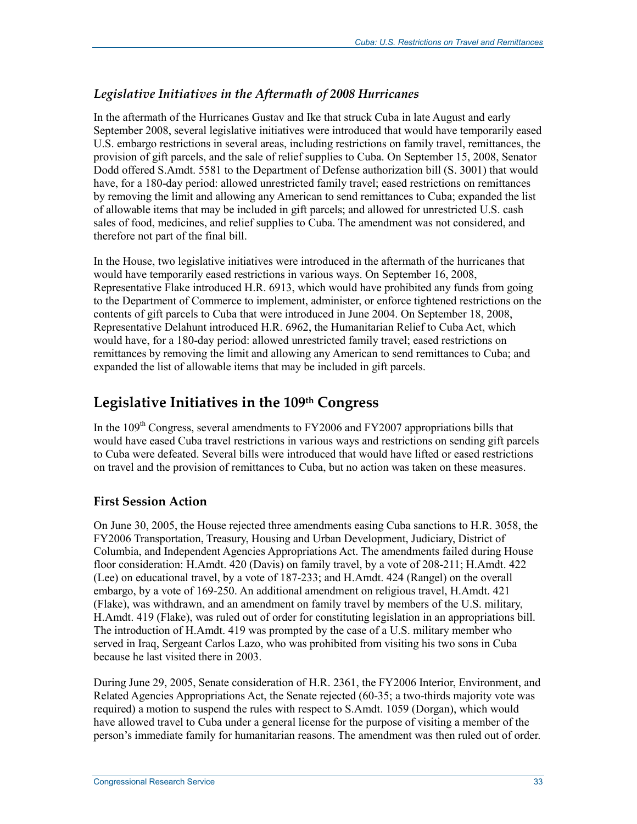## *Legislative Initiatives in the Aftermath of 2008 Hurricanes*

In the aftermath of the Hurricanes Gustav and Ike that struck Cuba in late August and early September 2008, several legislative initiatives were introduced that would have temporarily eased U.S. embargo restrictions in several areas, including restrictions on family travel, remittances, the provision of gift parcels, and the sale of relief supplies to Cuba. On September 15, 2008, Senator Dodd offered S.Amdt. 5581 to the Department of Defense authorization bill (S. 3001) that would have, for a 180-day period: allowed unrestricted family travel; eased restrictions on remittances by removing the limit and allowing any American to send remittances to Cuba; expanded the list of allowable items that may be included in gift parcels; and allowed for unrestricted U.S. cash sales of food, medicines, and relief supplies to Cuba. The amendment was not considered, and therefore not part of the final bill.

In the House, two legislative initiatives were introduced in the aftermath of the hurricanes that would have temporarily eased restrictions in various ways. On September 16, 2008, Representative Flake introduced H.R. 6913, which would have prohibited any funds from going to the Department of Commerce to implement, administer, or enforce tightened restrictions on the contents of gift parcels to Cuba that were introduced in June 2004. On September 18, 2008, Representative Delahunt introduced H.R. 6962, the Humanitarian Relief to Cuba Act, which would have, for a 180-day period: allowed unrestricted family travel; eased restrictions on remittances by removing the limit and allowing any American to send remittances to Cuba; and expanded the list of allowable items that may be included in gift parcels.

# **Legislative Initiatives in the 109th Congress**

In the  $109<sup>th</sup>$  Congress, several amendments to FY2006 and FY2007 appropriations bills that would have eased Cuba travel restrictions in various ways and restrictions on sending gift parcels to Cuba were defeated. Several bills were introduced that would have lifted or eased restrictions on travel and the provision of remittances to Cuba, but no action was taken on these measures.

## **First Session Action**

On June 30, 2005, the House rejected three amendments easing Cuba sanctions to H.R. 3058, the FY2006 Transportation, Treasury, Housing and Urban Development, Judiciary, District of Columbia, and Independent Agencies Appropriations Act. The amendments failed during House floor consideration: H.Amdt. 420 (Davis) on family travel, by a vote of 208-211; H.Amdt. 422 (Lee) on educational travel, by a vote of 187-233; and H.Amdt. 424 (Rangel) on the overall embargo, by a vote of 169-250. An additional amendment on religious travel, H.Amdt. 421 (Flake), was withdrawn, and an amendment on family travel by members of the U.S. military, H.Amdt. 419 (Flake), was ruled out of order for constituting legislation in an appropriations bill. The introduction of H.Amdt. 419 was prompted by the case of a U.S. military member who served in Iraq, Sergeant Carlos Lazo, who was prohibited from visiting his two sons in Cuba because he last visited there in 2003.

During June 29, 2005, Senate consideration of H.R. 2361, the FY2006 Interior, Environment, and Related Agencies Appropriations Act, the Senate rejected (60-35; a two-thirds majority vote was required) a motion to suspend the rules with respect to S.Amdt. 1059 (Dorgan), which would have allowed travel to Cuba under a general license for the purpose of visiting a member of the person's immediate family for humanitarian reasons. The amendment was then ruled out of order.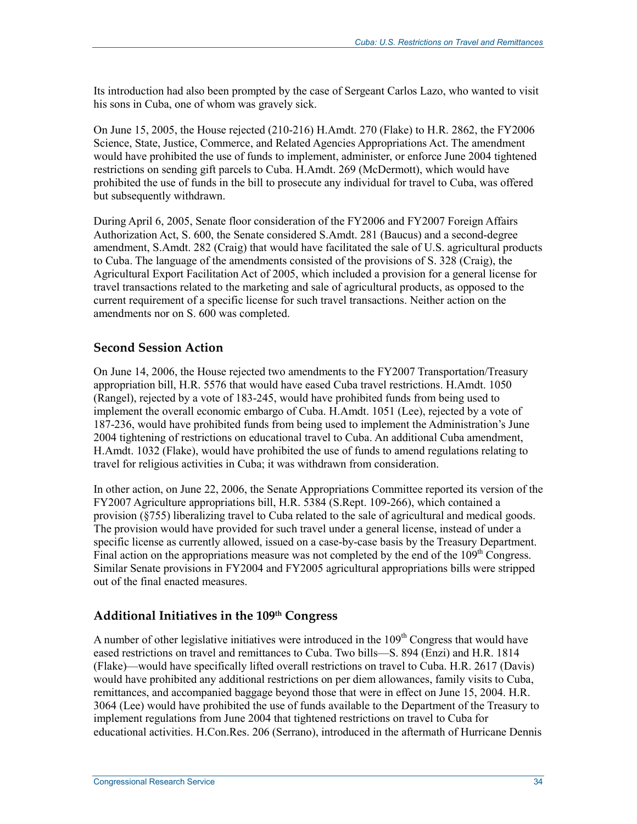Its introduction had also been prompted by the case of Sergeant Carlos Lazo, who wanted to visit his sons in Cuba, one of whom was gravely sick.

On June 15, 2005, the House rejected (210-216) H.Amdt. 270 (Flake) to H.R. 2862, the FY2006 Science, State, Justice, Commerce, and Related Agencies Appropriations Act. The amendment would have prohibited the use of funds to implement, administer, or enforce June 2004 tightened restrictions on sending gift parcels to Cuba. H.Amdt. 269 (McDermott), which would have prohibited the use of funds in the bill to prosecute any individual for travel to Cuba, was offered but subsequently withdrawn.

During April 6, 2005, Senate floor consideration of the FY2006 and FY2007 Foreign Affairs Authorization Act, S. 600, the Senate considered S.Amdt. 281 (Baucus) and a second-degree amendment, S.Amdt. 282 (Craig) that would have facilitated the sale of U.S. agricultural products to Cuba. The language of the amendments consisted of the provisions of S. 328 (Craig), the Agricultural Export Facilitation Act of 2005, which included a provision for a general license for travel transactions related to the marketing and sale of agricultural products, as opposed to the current requirement of a specific license for such travel transactions. Neither action on the amendments nor on S. 600 was completed.

### **Second Session Action**

On June 14, 2006, the House rejected two amendments to the FY2007 Transportation/Treasury appropriation bill, H.R. 5576 that would have eased Cuba travel restrictions. H.Amdt. 1050 (Rangel), rejected by a vote of 183-245, would have prohibited funds from being used to implement the overall economic embargo of Cuba. H.Amdt. 1051 (Lee), rejected by a vote of 187-236, would have prohibited funds from being used to implement the Administration's June 2004 tightening of restrictions on educational travel to Cuba. An additional Cuba amendment, H.Amdt. 1032 (Flake), would have prohibited the use of funds to amend regulations relating to travel for religious activities in Cuba; it was withdrawn from consideration.

In other action, on June 22, 2006, the Senate Appropriations Committee reported its version of the FY2007 Agriculture appropriations bill, H.R. 5384 (S.Rept. 109-266), which contained a provision (§755) liberalizing travel to Cuba related to the sale of agricultural and medical goods. The provision would have provided for such travel under a general license, instead of under a specific license as currently allowed, issued on a case-by-case basis by the Treasury Department. Final action on the appropriations measure was not completed by the end of the  $109<sup>th</sup>$  Congress. Similar Senate provisions in FY2004 and FY2005 agricultural appropriations bills were stripped out of the final enacted measures.

### **Additional Initiatives in the 109th Congress**

A number of other legislative initiatives were introduced in the  $109<sup>th</sup>$  Congress that would have eased restrictions on travel and remittances to Cuba. Two bills—S. 894 (Enzi) and H.R. 1814 (Flake)—would have specifically lifted overall restrictions on travel to Cuba. H.R. 2617 (Davis) would have prohibited any additional restrictions on per diem allowances, family visits to Cuba, remittances, and accompanied baggage beyond those that were in effect on June 15, 2004. H.R. 3064 (Lee) would have prohibited the use of funds available to the Department of the Treasury to implement regulations from June 2004 that tightened restrictions on travel to Cuba for educational activities. H.Con.Res. 206 (Serrano), introduced in the aftermath of Hurricane Dennis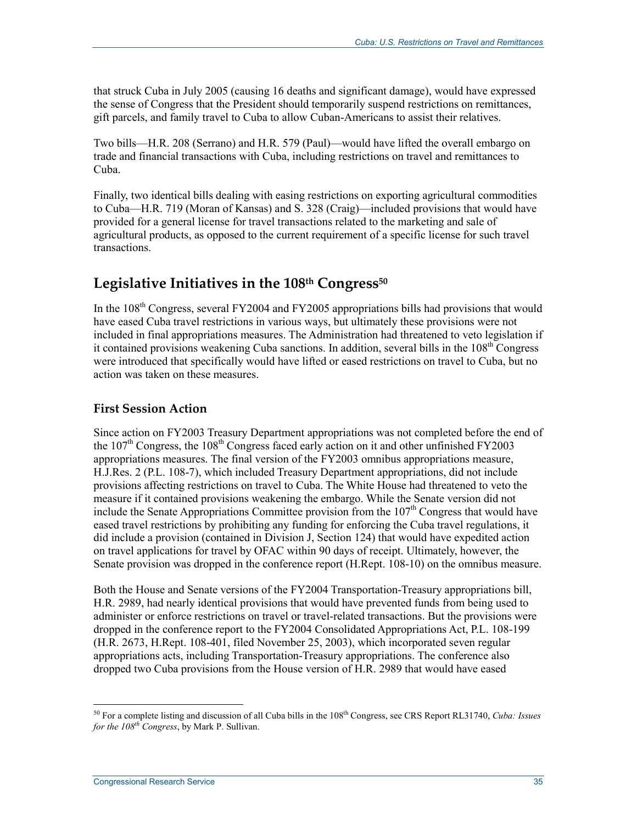that struck Cuba in July 2005 (causing 16 deaths and significant damage), would have expressed the sense of Congress that the President should temporarily suspend restrictions on remittances, gift parcels, and family travel to Cuba to allow Cuban-Americans to assist their relatives.

Two bills—H.R. 208 (Serrano) and H.R. 579 (Paul)—would have lifted the overall embargo on trade and financial transactions with Cuba, including restrictions on travel and remittances to Cuba.

Finally, two identical bills dealing with easing restrictions on exporting agricultural commodities to Cuba—H.R. 719 (Moran of Kansas) and S. 328 (Craig)—included provisions that would have provided for a general license for travel transactions related to the marketing and sale of agricultural products, as opposed to the current requirement of a specific license for such travel transactions.

# Legislative Initiatives in the 108<sup>th</sup> Congress<sup>50</sup>

In the  $108<sup>th</sup>$  Congress, several FY2004 and FY2005 appropriations bills had provisions that would have eased Cuba travel restrictions in various ways, but ultimately these provisions were not included in final appropriations measures. The Administration had threatened to veto legislation if it contained provisions weakening Cuba sanctions. In addition, several bills in the  $108<sup>th</sup>$  Congress were introduced that specifically would have lifted or eased restrictions on travel to Cuba, but no action was taken on these measures.

## **First Session Action**

Since action on FY2003 Treasury Department appropriations was not completed before the end of the 107<sup>th</sup> Congress, the 108<sup>th</sup> Congress faced early action on it and other unfinished FY2003 appropriations measures. The final version of the FY2003 omnibus appropriations measure, H.J.Res. 2 (P.L. 108-7), which included Treasury Department appropriations, did not include provisions affecting restrictions on travel to Cuba. The White House had threatened to veto the measure if it contained provisions weakening the embargo. While the Senate version did not include the Senate Appropriations Committee provision from the  $107<sup>th</sup>$  Congress that would have eased travel restrictions by prohibiting any funding for enforcing the Cuba travel regulations, it did include a provision (contained in Division J, Section 124) that would have expedited action on travel applications for travel by OFAC within 90 days of receipt. Ultimately, however, the Senate provision was dropped in the conference report (H.Rept. 108-10) on the omnibus measure.

Both the House and Senate versions of the FY2004 Transportation-Treasury appropriations bill, H.R. 2989, had nearly identical provisions that would have prevented funds from being used to administer or enforce restrictions on travel or travel-related transactions. But the provisions were dropped in the conference report to the FY2004 Consolidated Appropriations Act, P.L. 108-199 (H.R. 2673, H.Rept. 108-401, filed November 25, 2003), which incorporated seven regular appropriations acts, including Transportation-Treasury appropriations. The conference also dropped two Cuba provisions from the House version of H.R. 2989 that would have eased

<sup>50</sup> For a complete listing and discussion of all Cuba bills in the 108th Congress, see CRS Report RL31740, *Cuba: Issues for the 108th Congress*, by Mark P. Sullivan.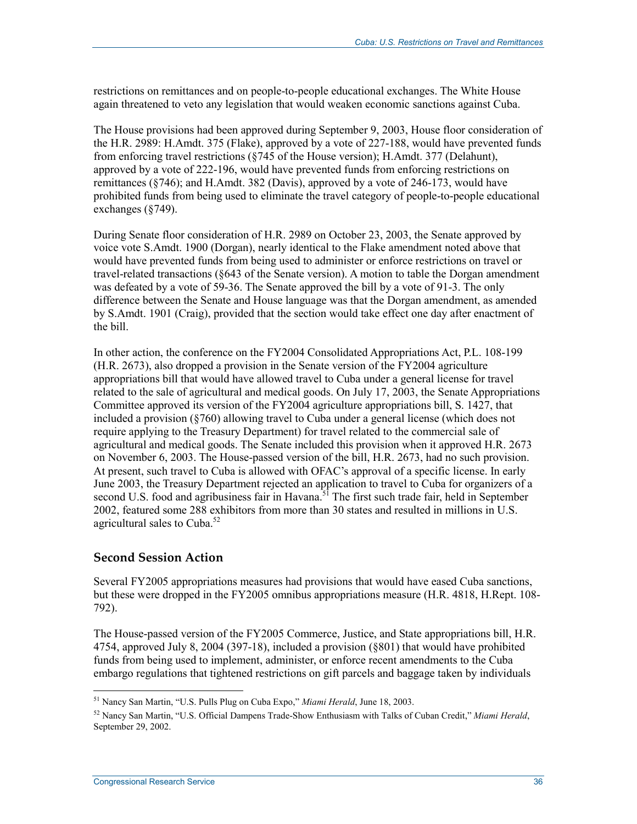restrictions on remittances and on people-to-people educational exchanges. The White House again threatened to veto any legislation that would weaken economic sanctions against Cuba.

The House provisions had been approved during September 9, 2003, House floor consideration of the H.R. 2989: H.Amdt. 375 (Flake), approved by a vote of 227-188, would have prevented funds from enforcing travel restrictions (§745 of the House version); H.Amdt. 377 (Delahunt), approved by a vote of 222-196, would have prevented funds from enforcing restrictions on remittances (§746); and H.Amdt. 382 (Davis), approved by a vote of 246-173, would have prohibited funds from being used to eliminate the travel category of people-to-people educational exchanges (§749).

During Senate floor consideration of H.R. 2989 on October 23, 2003, the Senate approved by voice vote S.Amdt. 1900 (Dorgan), nearly identical to the Flake amendment noted above that would have prevented funds from being used to administer or enforce restrictions on travel or travel-related transactions (§643 of the Senate version). A motion to table the Dorgan amendment was defeated by a vote of 59-36. The Senate approved the bill by a vote of 91-3. The only difference between the Senate and House language was that the Dorgan amendment, as amended by S.Amdt. 1901 (Craig), provided that the section would take effect one day after enactment of the bill.

In other action, the conference on the FY2004 Consolidated Appropriations Act, P.L. 108-199 (H.R. 2673), also dropped a provision in the Senate version of the FY2004 agriculture appropriations bill that would have allowed travel to Cuba under a general license for travel related to the sale of agricultural and medical goods. On July 17, 2003, the Senate Appropriations Committee approved its version of the FY2004 agriculture appropriations bill, S. 1427, that included a provision (§760) allowing travel to Cuba under a general license (which does not require applying to the Treasury Department) for travel related to the commercial sale of agricultural and medical goods. The Senate included this provision when it approved H.R. 2673 on November 6, 2003. The House-passed version of the bill, H.R. 2673, had no such provision. At present, such travel to Cuba is allowed with OFAC's approval of a specific license. In early June 2003, the Treasury Department rejected an application to travel to Cuba for organizers of a second U.S. food and agribusiness fair in Havana.<sup>51</sup> The first such trade fair, held in September 2002, featured some 288 exhibitors from more than 30 states and resulted in millions in U.S. agricultural sales to Cuba.<sup>52</sup>

### **Second Session Action**

Several FY2005 appropriations measures had provisions that would have eased Cuba sanctions, but these were dropped in the FY2005 omnibus appropriations measure (H.R. 4818, H.Rept. 108- 792).

The House-passed version of the FY2005 Commerce, Justice, and State appropriations bill, H.R. 4754, approved July 8, 2004 (397-18), included a provision (§801) that would have prohibited funds from being used to implement, administer, or enforce recent amendments to the Cuba embargo regulations that tightened restrictions on gift parcels and baggage taken by individuals

<sup>51</sup> Nancy San Martin, "U.S. Pulls Plug on Cuba Expo," *Miami Herald*, June 18, 2003.

<sup>52</sup> Nancy San Martin, "U.S. Official Dampens Trade-Show Enthusiasm with Talks of Cuban Credit," *Miami Herald*, September 29, 2002.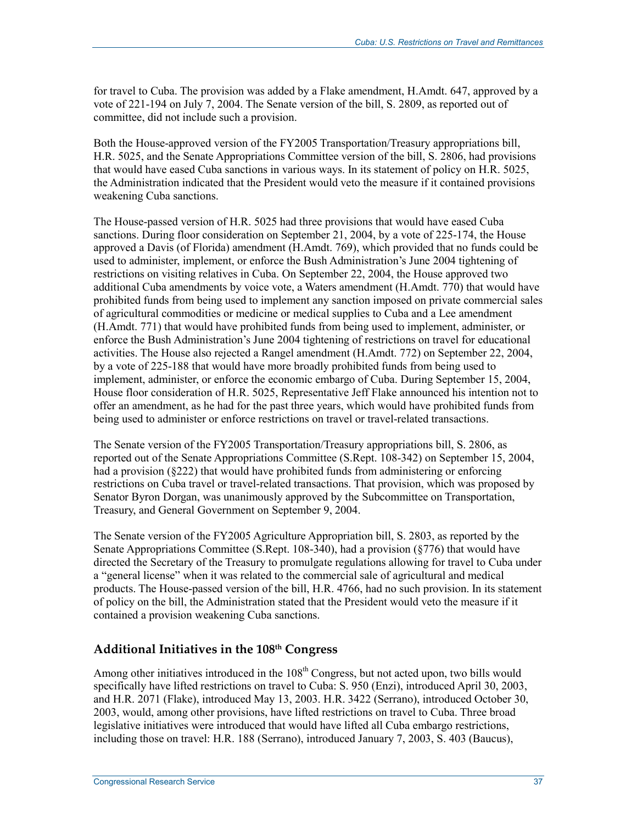for travel to Cuba. The provision was added by a Flake amendment, H.Amdt. 647, approved by a vote of 221-194 on July 7, 2004. The Senate version of the bill, S. 2809, as reported out of committee, did not include such a provision.

Both the House-approved version of the FY2005 Transportation/Treasury appropriations bill, H.R. 5025, and the Senate Appropriations Committee version of the bill, S. 2806, had provisions that would have eased Cuba sanctions in various ways. In its statement of policy on H.R. 5025, the Administration indicated that the President would veto the measure if it contained provisions weakening Cuba sanctions.

The House-passed version of H.R. 5025 had three provisions that would have eased Cuba sanctions. During floor consideration on September 21, 2004, by a vote of 225-174, the House approved a Davis (of Florida) amendment (H.Amdt. 769), which provided that no funds could be used to administer, implement, or enforce the Bush Administration's June 2004 tightening of restrictions on visiting relatives in Cuba. On September 22, 2004, the House approved two additional Cuba amendments by voice vote, a Waters amendment (H.Amdt. 770) that would have prohibited funds from being used to implement any sanction imposed on private commercial sales of agricultural commodities or medicine or medical supplies to Cuba and a Lee amendment (H.Amdt. 771) that would have prohibited funds from being used to implement, administer, or enforce the Bush Administration's June 2004 tightening of restrictions on travel for educational activities. The House also rejected a Rangel amendment (H.Amdt. 772) on September 22, 2004, by a vote of 225-188 that would have more broadly prohibited funds from being used to implement, administer, or enforce the economic embargo of Cuba. During September 15, 2004, House floor consideration of H.R. 5025, Representative Jeff Flake announced his intention not to offer an amendment, as he had for the past three years, which would have prohibited funds from being used to administer or enforce restrictions on travel or travel-related transactions.

The Senate version of the FY2005 Transportation/Treasury appropriations bill, S. 2806, as reported out of the Senate Appropriations Committee (S.Rept. 108-342) on September 15, 2004, had a provision (§222) that would have prohibited funds from administering or enforcing restrictions on Cuba travel or travel-related transactions. That provision, which was proposed by Senator Byron Dorgan, was unanimously approved by the Subcommittee on Transportation, Treasury, and General Government on September 9, 2004.

The Senate version of the FY2005 Agriculture Appropriation bill, S. 2803, as reported by the Senate Appropriations Committee (S.Rept. 108-340), had a provision (§776) that would have directed the Secretary of the Treasury to promulgate regulations allowing for travel to Cuba under a "general license" when it was related to the commercial sale of agricultural and medical products. The House-passed version of the bill, H.R. 4766, had no such provision. In its statement of policy on the bill, the Administration stated that the President would veto the measure if it contained a provision weakening Cuba sanctions.

## **Additional Initiatives in the 108th Congress**

Among other initiatives introduced in the  $108<sup>th</sup>$  Congress, but not acted upon, two bills would specifically have lifted restrictions on travel to Cuba: S. 950 (Enzi), introduced April 30, 2003, and H.R. 2071 (Flake), introduced May 13, 2003. H.R. 3422 (Serrano), introduced October 30, 2003, would, among other provisions, have lifted restrictions on travel to Cuba. Three broad legislative initiatives were introduced that would have lifted all Cuba embargo restrictions, including those on travel: H.R. 188 (Serrano), introduced January 7, 2003, S. 403 (Baucus),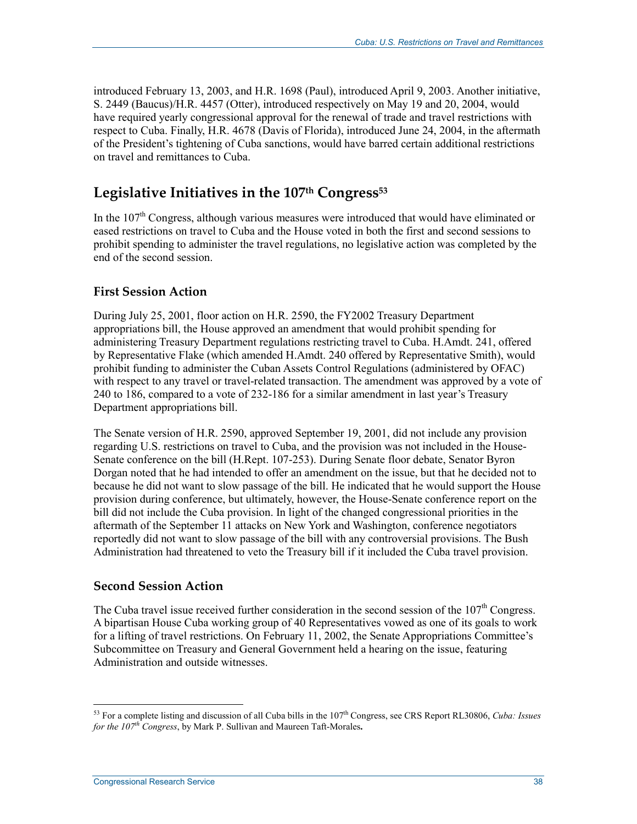introduced February 13, 2003, and H.R. 1698 (Paul), introduced April 9, 2003. Another initiative, S. 2449 (Baucus)/H.R. 4457 (Otter), introduced respectively on May 19 and 20, 2004, would have required yearly congressional approval for the renewal of trade and travel restrictions with respect to Cuba. Finally, H.R. 4678 (Davis of Florida), introduced June 24, 2004, in the aftermath of the President's tightening of Cuba sanctions, would have barred certain additional restrictions on travel and remittances to Cuba.

## Legislative Initiatives in the 107<sup>th</sup> Congress<sup>53</sup>

In the 107<sup>th</sup> Congress, although various measures were introduced that would have eliminated or eased restrictions on travel to Cuba and the House voted in both the first and second sessions to prohibit spending to administer the travel regulations, no legislative action was completed by the end of the second session.

## **First Session Action**

During July 25, 2001, floor action on H.R. 2590, the FY2002 Treasury Department appropriations bill, the House approved an amendment that would prohibit spending for administering Treasury Department regulations restricting travel to Cuba. H.Amdt. 241, offered by Representative Flake (which amended H.Amdt. 240 offered by Representative Smith), would prohibit funding to administer the Cuban Assets Control Regulations (administered by OFAC) with respect to any travel or travel-related transaction. The amendment was approved by a vote of 240 to 186, compared to a vote of 232-186 for a similar amendment in last year's Treasury Department appropriations bill.

The Senate version of H.R. 2590, approved September 19, 2001, did not include any provision regarding U.S. restrictions on travel to Cuba, and the provision was not included in the House-Senate conference on the bill (H.Rept. 107-253). During Senate floor debate, Senator Byron Dorgan noted that he had intended to offer an amendment on the issue, but that he decided not to because he did not want to slow passage of the bill. He indicated that he would support the House provision during conference, but ultimately, however, the House-Senate conference report on the bill did not include the Cuba provision. In light of the changed congressional priorities in the aftermath of the September 11 attacks on New York and Washington, conference negotiators reportedly did not want to slow passage of the bill with any controversial provisions. The Bush Administration had threatened to veto the Treasury bill if it included the Cuba travel provision.

### **Second Session Action**

The Cuba travel issue received further consideration in the second session of the  $107<sup>th</sup>$  Congress. A bipartisan House Cuba working group of 40 Representatives vowed as one of its goals to work for a lifting of travel restrictions. On February 11, 2002, the Senate Appropriations Committee's Subcommittee on Treasury and General Government held a hearing on the issue, featuring Administration and outside witnesses.

<sup>1</sup> 53 For a complete listing and discussion of all Cuba bills in the 107th Congress, see CRS Report RL30806, *Cuba: Issues for the 107th Congress*, by Mark P. Sullivan and Maureen Taft-Morales**.**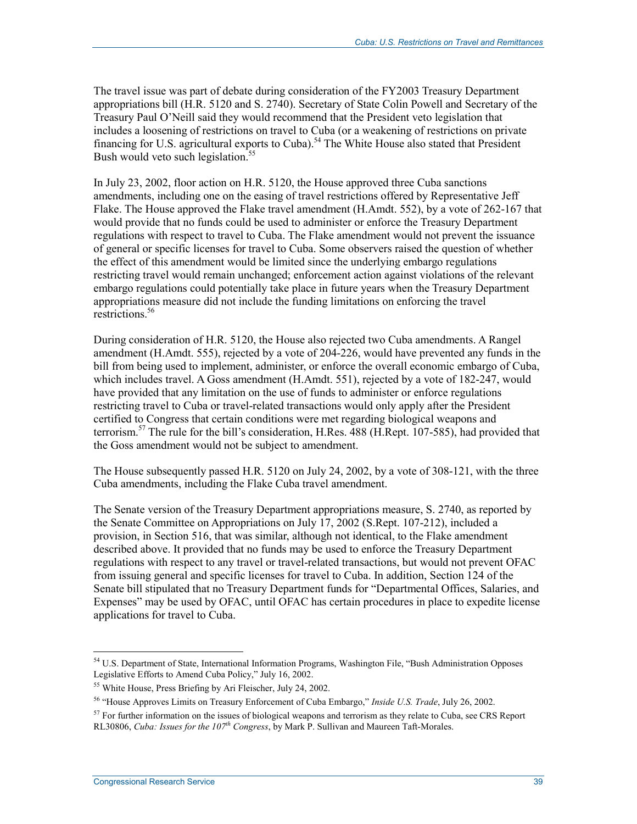The travel issue was part of debate during consideration of the FY2003 Treasury Department appropriations bill (H.R. 5120 and S. 2740). Secretary of State Colin Powell and Secretary of the Treasury Paul O'Neill said they would recommend that the President veto legislation that includes a loosening of restrictions on travel to Cuba (or a weakening of restrictions on private financing for U.S. agricultural exports to Cuba).<sup>54</sup> The White House also stated that President Bush would veto such legislation.<sup>55</sup>

In July 23, 2002, floor action on H.R. 5120, the House approved three Cuba sanctions amendments, including one on the easing of travel restrictions offered by Representative Jeff Flake. The House approved the Flake travel amendment (H.Amdt. 552), by a vote of 262-167 that would provide that no funds could be used to administer or enforce the Treasury Department regulations with respect to travel to Cuba. The Flake amendment would not prevent the issuance of general or specific licenses for travel to Cuba. Some observers raised the question of whether the effect of this amendment would be limited since the underlying embargo regulations restricting travel would remain unchanged; enforcement action against violations of the relevant embargo regulations could potentially take place in future years when the Treasury Department appropriations measure did not include the funding limitations on enforcing the travel restrictions.<sup>56</sup>

During consideration of H.R. 5120, the House also rejected two Cuba amendments. A Rangel amendment (H.Amdt. 555), rejected by a vote of 204-226, would have prevented any funds in the bill from being used to implement, administer, or enforce the overall economic embargo of Cuba, which includes travel. A Goss amendment (H.Amdt. 551), rejected by a vote of 182-247, would have provided that any limitation on the use of funds to administer or enforce regulations restricting travel to Cuba or travel-related transactions would only apply after the President certified to Congress that certain conditions were met regarding biological weapons and terrorism.57 The rule for the bill's consideration, H.Res. 488 (H.Rept. 107-585), had provided that the Goss amendment would not be subject to amendment.

The House subsequently passed H.R. 5120 on July 24, 2002, by a vote of 308-121, with the three Cuba amendments, including the Flake Cuba travel amendment.

The Senate version of the Treasury Department appropriations measure, S. 2740, as reported by the Senate Committee on Appropriations on July 17, 2002 (S.Rept. 107-212), included a provision, in Section 516, that was similar, although not identical, to the Flake amendment described above. It provided that no funds may be used to enforce the Treasury Department regulations with respect to any travel or travel-related transactions, but would not prevent OFAC from issuing general and specific licenses for travel to Cuba. In addition, Section 124 of the Senate bill stipulated that no Treasury Department funds for "Departmental Offices, Salaries, and Expenses" may be used by OFAC, until OFAC has certain procedures in place to expedite license applications for travel to Cuba.

<sup>1</sup> <sup>54</sup> U.S. Department of State, International Information Programs, Washington File, "Bush Administration Opposes Legislative Efforts to Amend Cuba Policy," July 16, 2002.

<sup>55</sup> White House, Press Briefing by Ari Fleischer, July 24, 2002.

<sup>56 &</sup>quot;House Approves Limits on Treasury Enforcement of Cuba Embargo," *Inside U.S. Trade*, July 26, 2002.

 $57$  For further information on the issues of biological weapons and terrorism as they relate to Cuba, see CRS Report RL30806, *Cuba: Issues for the 107th Congress*, by Mark P. Sullivan and Maureen Taft-Morales.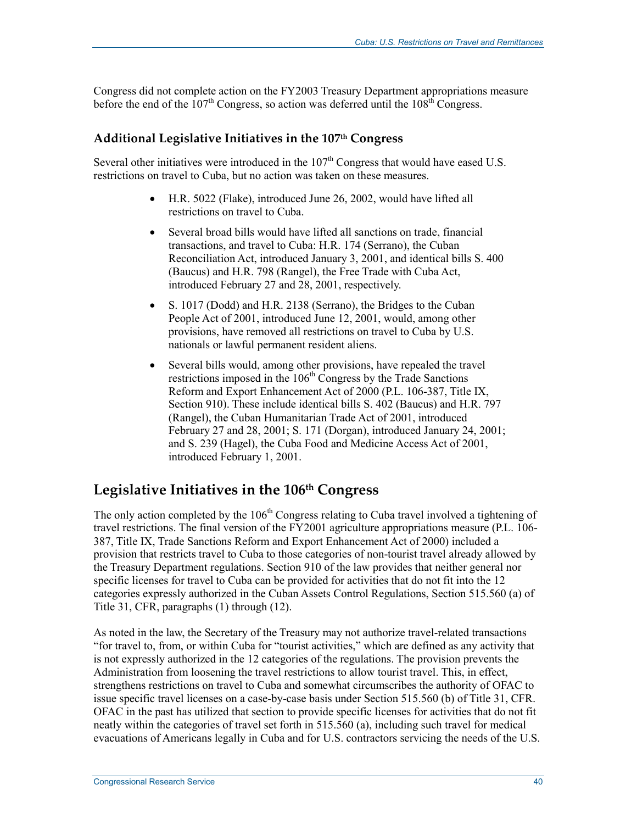Congress did not complete action on the FY2003 Treasury Department appropriations measure before the end of the  $107<sup>th</sup>$  Congress, so action was deferred until the  $108<sup>th</sup>$  Congress.

### **Additional Legislative Initiatives in the 107th Congress**

Several other initiatives were introduced in the 107<sup>th</sup> Congress that would have eased U.S. restrictions on travel to Cuba, but no action was taken on these measures.

- H.R. 5022 (Flake), introduced June 26, 2002, would have lifted all restrictions on travel to Cuba.
- Several broad bills would have lifted all sanctions on trade, financial transactions, and travel to Cuba: H.R. 174 (Serrano), the Cuban Reconciliation Act, introduced January 3, 2001, and identical bills S. 400 (Baucus) and H.R. 798 (Rangel), the Free Trade with Cuba Act, introduced February 27 and 28, 2001, respectively.
- S. 1017 (Dodd) and H.R. 2138 (Serrano), the Bridges to the Cuban People Act of 2001, introduced June 12, 2001, would, among other provisions, have removed all restrictions on travel to Cuba by U.S. nationals or lawful permanent resident aliens.
- Several bills would, among other provisions, have repealed the travel restrictions imposed in the  $106<sup>th</sup>$  Congress by the Trade Sanctions Reform and Export Enhancement Act of 2000 (P.L. 106-387, Title IX, Section 910). These include identical bills S. 402 (Baucus) and H.R. 797 (Rangel), the Cuban Humanitarian Trade Act of 2001, introduced February 27 and 28, 2001; S. 171 (Dorgan), introduced January 24, 2001; and S. 239 (Hagel), the Cuba Food and Medicine Access Act of 2001, introduced February 1, 2001.

## Legislative Initiatives in the 106<sup>th</sup> Congress

The only action completed by the 106<sup>th</sup> Congress relating to Cuba travel involved a tightening of travel restrictions. The final version of the FY2001 agriculture appropriations measure (P.L. 106- 387, Title IX, Trade Sanctions Reform and Export Enhancement Act of 2000) included a provision that restricts travel to Cuba to those categories of non-tourist travel already allowed by the Treasury Department regulations. Section 910 of the law provides that neither general nor specific licenses for travel to Cuba can be provided for activities that do not fit into the 12 categories expressly authorized in the Cuban Assets Control Regulations, Section 515.560 (a) of Title 31, CFR, paragraphs (1) through (12).

As noted in the law, the Secretary of the Treasury may not authorize travel-related transactions "for travel to, from, or within Cuba for "tourist activities," which are defined as any activity that is not expressly authorized in the 12 categories of the regulations. The provision prevents the Administration from loosening the travel restrictions to allow tourist travel. This, in effect, strengthens restrictions on travel to Cuba and somewhat circumscribes the authority of OFAC to issue specific travel licenses on a case-by-case basis under Section 515.560 (b) of Title 31, CFR. OFAC in the past has utilized that section to provide specific licenses for activities that do not fit neatly within the categories of travel set forth in 515.560 (a), including such travel for medical evacuations of Americans legally in Cuba and for U.S. contractors servicing the needs of the U.S.